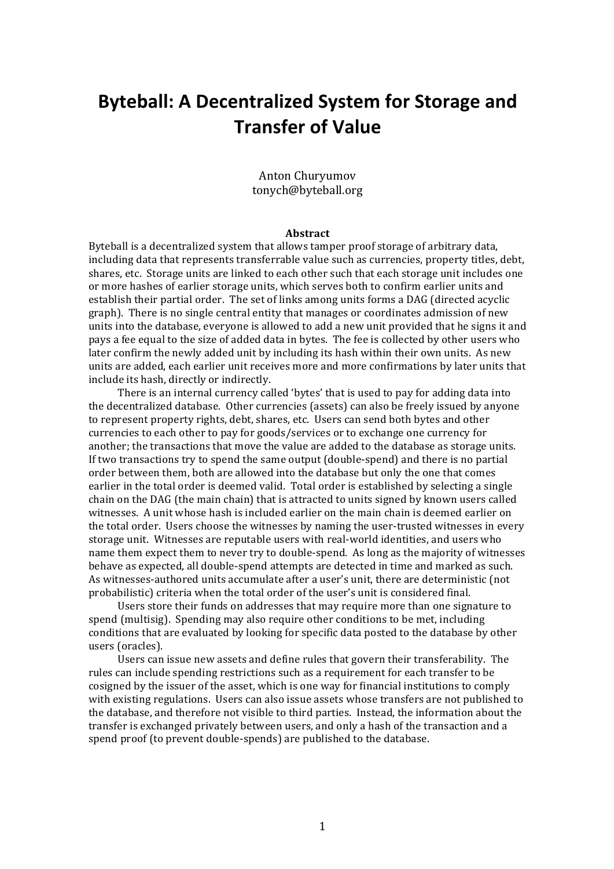# **Byteball: A Decentralized System for Storage and Transfer of Value**

#### Anton Churyumov tonych@byteball.org

#### **Abstract**

Byteball is a decentralized system that allows tamper proof storage of arbitrary data. including data that represents transferrable value such as currencies, property titles, debt, shares, etc. Storage units are linked to each other such that each storage unit includes one or more hashes of earlier storage units, which serves both to confirm earlier units and establish their partial order. The set of links among units forms a DAG (directed acyclic graph). There is no single central entity that manages or coordinates admission of new units into the database, everyone is allowed to add a new unit provided that he signs it and pays a fee equal to the size of added data in bytes. The fee is collected by other users who later confirm the newly added unit by including its hash within their own units. As new units are added, each earlier unit receives more and more confirmations by later units that include its hash, directly or indirectly.

There is an internal currency called 'bytes' that is used to pay for adding data into the decentralized database. Other currencies (assets) can also be freely issued by anyone to represent property rights, debt, shares, etc. Users can send both bytes and other currencies to each other to pay for goods/services or to exchange one currency for another; the transactions that move the value are added to the database as storage units. If two transactions try to spend the same output  $(double-spend)$  and there is no partial order between them, both are allowed into the database but only the one that comes earlier in the total order is deemed valid. Total order is established by selecting a single chain on the DAG (the main chain) that is attracted to units signed by known users called witnesses. A unit whose hash is included earlier on the main chain is deemed earlier on the total order. Users choose the witnesses by naming the user-trusted witnesses in every storage unit. Witnesses are reputable users with real-world identities, and users who name them expect them to never try to double-spend. As long as the majority of witnesses behave as expected, all double-spend attempts are detected in time and marked as such. As witnesses-authored units accumulate after a user's unit, there are deterministic (not probabilistic) criteria when the total order of the user's unit is considered final.

Users store their funds on addresses that may require more than one signature to spend (multisig). Spending may also require other conditions to be met, including conditions that are evaluated by looking for specific data posted to the database by other users (oracles).

Users can issue new assets and define rules that govern their transferability. The rules can include spending restrictions such as a requirement for each transfer to be cosigned by the issuer of the asset, which is one way for financial institutions to comply with existing regulations. Users can also issue assets whose transfers are not published to the database, and therefore not visible to third parties. Instead, the information about the transfer is exchanged privately between users, and only a hash of the transaction and a spend proof (to prevent double-spends) are published to the database.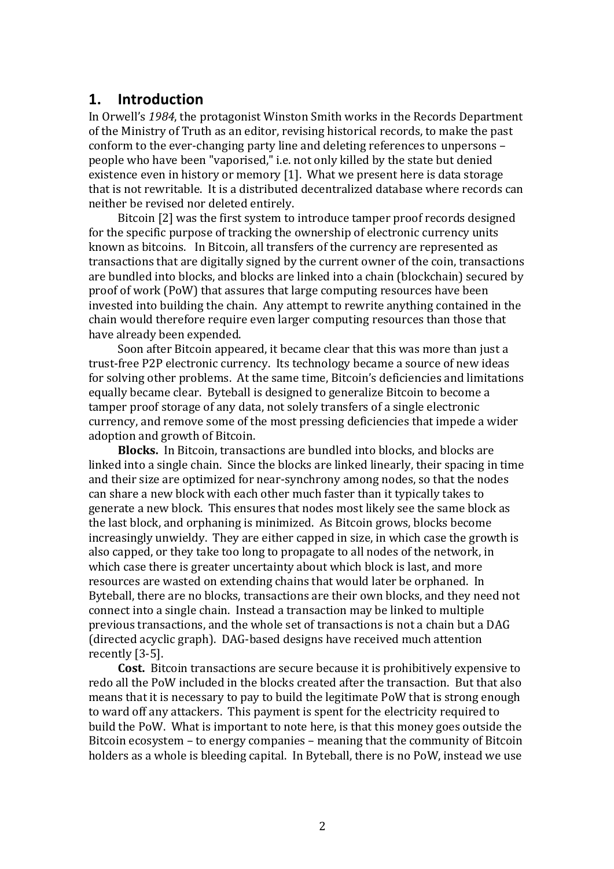### **1. Introduction**

In Orwell's 1984, the protagonist Winston Smith works in the Records Department of the Ministry of Truth as an editor, revising historical records, to make the past conform to the ever-changing party line and deleting references to unpersons – people who have been "vaporised," i.e. not only killed by the state but denied existence even in history or memory  $[1]$ . What we present here is data storage that is not rewritable. It is a distributed decentralized database where records can neither be revised nor deleted entirely.

Bitcoin [2] was the first system to introduce tamper proof records designed for the specific purpose of tracking the ownership of electronic currency units known as bitcoins. In Bitcoin, all transfers of the currency are represented as transactions that are digitally signed by the current owner of the coin, transactions are bundled into blocks, and blocks are linked into a chain (blockchain) secured by proof of work (PoW) that assures that large computing resources have been invested into building the chain. Any attempt to rewrite anything contained in the chain would therefore require even larger computing resources than those that have already been expended.

Soon after Bitcoin appeared, it became clear that this was more than just a trust-free P2P electronic currency. Its technology became a source of new ideas for solving other problems. At the same time, Bitcoin's deficiencies and limitations equally became clear. Byteball is designed to generalize Bitcoin to become a tamper proof storage of any data, not solely transfers of a single electronic currency, and remove some of the most pressing deficiencies that impede a wider adoption and growth of Bitcoin.

**Blocks.** In Bitcoin, transactions are bundled into blocks, and blocks are linked into a single chain. Since the blocks are linked linearly, their spacing in time and their size are optimized for near-synchrony among nodes, so that the nodes can share a new block with each other much faster than it typically takes to generate a new block. This ensures that nodes most likely see the same block as the last block, and orphaning is minimized. As Bitcoin grows, blocks become increasingly unwieldy. They are either capped in size, in which case the growth is also capped, or they take too long to propagate to all nodes of the network, in which case there is greater uncertainty about which block is last, and more resources are wasted on extending chains that would later be orphaned. In Byteball, there are no blocks, transactions are their own blocks, and they need not connect into a single chain. Instead a transaction may be linked to multiple previous transactions, and the whole set of transactions is not a chain but a DAG (directed acyclic graph). DAG-based designs have received much attention recently [3-5].

**Cost.** Bitcoin transactions are secure because it is prohibitively expensive to redo all the PoW included in the blocks created after the transaction. But that also means that it is necessary to pay to build the legitimate PoW that is strong enough to ward off any attackers. This payment is spent for the electricity required to build the PoW. What is important to note here, is that this money goes outside the Bitcoin ecosystem – to energy companies – meaning that the community of Bitcoin holders as a whole is bleeding capital. In Byteball, there is no PoW, instead we use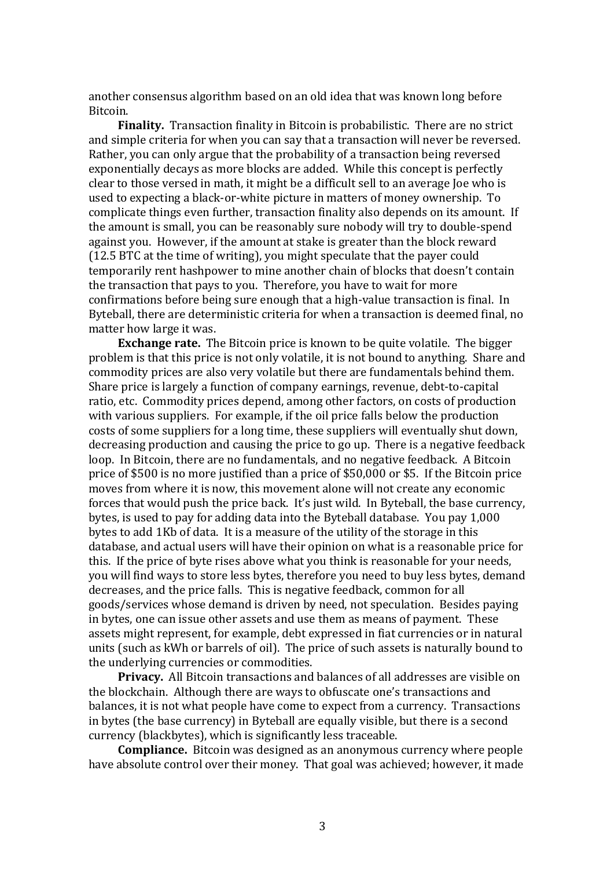another consensus algorithm based on an old idea that was known long before Bitcoin.

**Finality.** Transaction finality in Bitcoin is probabilistic. There are no strict and simple criteria for when you can say that a transaction will never be reversed. Rather, you can only argue that the probability of a transaction being reversed exponentially decays as more blocks are added. While this concept is perfectly clear to those versed in math, it might be a difficult sell to an average Joe who is used to expecting a black-or-white picture in matters of money ownership. To complicate things even further, transaction finality also depends on its amount. If the amount is small, you can be reasonably sure nobody will try to double-spend against you. However, if the amount at stake is greater than the block reward (12.5 BTC at the time of writing), you might speculate that the payer could temporarily rent hashpower to mine another chain of blocks that doesn't contain the transaction that pays to you. Therefore, you have to wait for more confirmations before being sure enough that a high-value transaction is final. In Byteball, there are deterministic criteria for when a transaction is deemed final, no matter how large it was.

**Exchange rate.** The Bitcoin price is known to be quite volatile. The bigger problem is that this price is not only volatile, it is not bound to anything. Share and commodity prices are also very volatile but there are fundamentals behind them. Share price is largely a function of company earnings, revenue, debt-to-capital ratio, etc. Commodity prices depend, among other factors, on costs of production with various suppliers. For example, if the oil price falls below the production costs of some suppliers for a long time, these suppliers will eventually shut down, decreasing production and causing the price to go up. There is a negative feedback loop. In Bitcoin, there are no fundamentals, and no negative feedback. A Bitcoin price of \$500 is no more justified than a price of \$50,000 or \$5. If the Bitcoin price moves from where it is now, this movement alone will not create any economic forces that would push the price back. It's just wild. In Byteball, the base currency, bytes, is used to pay for adding data into the Byteball database. You pay 1,000 bytes to add 1Kb of data. It is a measure of the utility of the storage in this database, and actual users will have their opinion on what is a reasonable price for this. If the price of byte rises above what you think is reasonable for your needs, you will find ways to store less bytes, therefore you need to buy less bytes, demand decreases, and the price falls. This is negative feedback, common for all goods/services whose demand is driven by need, not speculation. Besides paying in bytes, one can issue other assets and use them as means of payment. These assets might represent, for example, debt expressed in fiat currencies or in natural units (such as kWh or barrels of oil). The price of such assets is naturally bound to the underlying currencies or commodities.

**Privacy.** All Bitcoin transactions and balances of all addresses are visible on the blockchain. Although there are ways to obfuscate one's transactions and balances, it is not what people have come to expect from a currency. Transactions in bytes (the base currency) in Byteball are equally visible, but there is a second currency (blackbytes), which is significantly less traceable.

**Compliance.** Bitcoin was designed as an anonymous currency where people have absolute control over their money. That goal was achieved; however, it made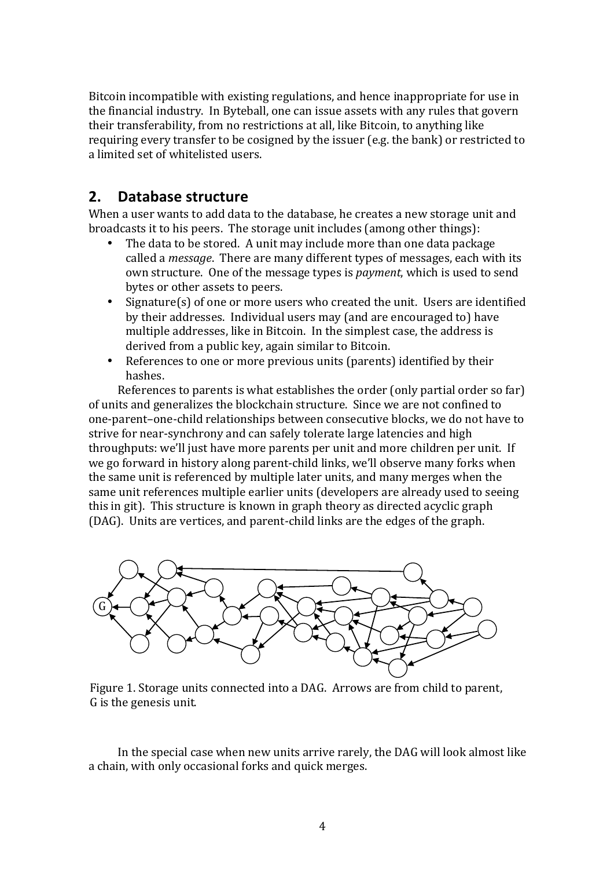Bitcoin incompatible with existing regulations, and hence inappropriate for use in the financial industry. In Byteball, one can issue assets with any rules that govern their transferability, from no restrictions at all, like Bitcoin, to anything like requiring every transfer to be cosigned by the issuer (e.g. the bank) or restricted to a limited set of whitelisted users.

## **2. Database structure**

When a user wants to add data to the database, he creates a new storage unit and broadcasts it to his peers. The storage unit includes (among other things):

- The data to be stored. A unit may include more than one data package called a *message*. There are many different types of messages, each with its own structure. One of the message types is *payment*, which is used to send bytes or other assets to peers.
- Signature(s) of one or more users who created the unit. Users are identified by their addresses. Individual users may (and are encouraged to) have multiple addresses, like in Bitcoin. In the simplest case, the address is derived from a public key, again similar to Bitcoin.
- References to one or more previous units (parents) identified by their hashes.

References to parents is what establishes the order (only partial order so far) of units and generalizes the blockchain structure. Since we are not confined to one-parent-one-child relationships between consecutive blocks, we do not have to strive for near-synchrony and can safely tolerate large latencies and high throughputs: we'll just have more parents per unit and more children per unit. If we go forward in history along parent-child links, we'll observe many forks when the same unit is referenced by multiple later units, and many merges when the same unit references multiple earlier units (developers are already used to seeing this in git). This structure is known in graph theory as directed acyclic graph (DAG). Units are vertices, and parent-child links are the edges of the graph.



Figure 1. Storage units connected into a DAG. Arrows are from child to parent, G is the genesis unit.

In the special case when new units arrive rarely, the DAG will look almost like a chain, with only occasional forks and quick merges.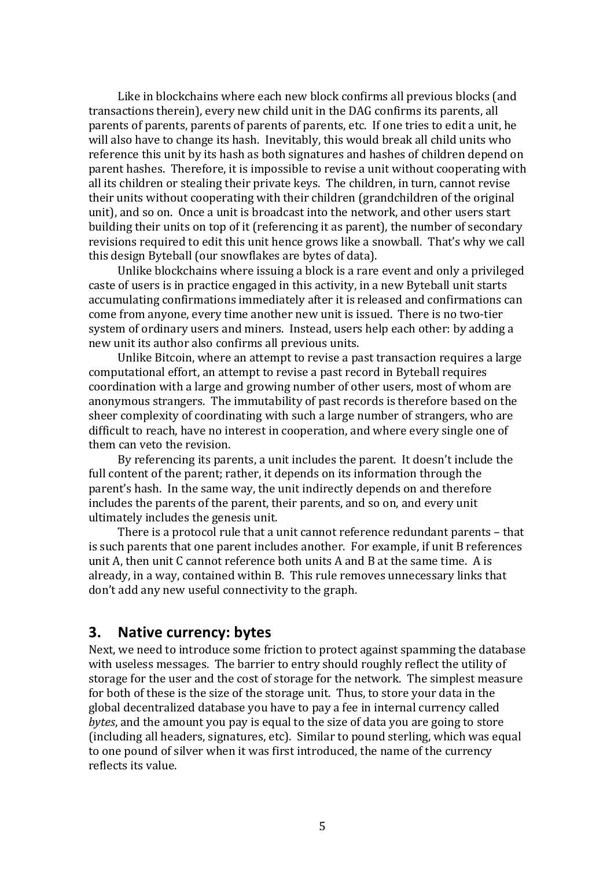Like in blockchains where each new block confirms all previous blocks (and transactions therein), every new child unit in the DAG confirms its parents, all parents of parents, parents of parents of parents, etc. If one tries to edit a unit, he will also have to change its hash. Inevitably, this would break all child units who reference this unit by its hash as both signatures and hashes of children depend on parent hashes. Therefore, it is impossible to revise a unit without cooperating with all its children or stealing their private keys. The children, in turn, cannot revise their units without cooperating with their children (grandchildren of the original unit), and so on. Once a unit is broadcast into the network, and other users start building their units on top of it (referencing it as parent), the number of secondary revisions required to edit this unit hence grows like a snowball. That's why we call this design Byteball (our snowflakes are bytes of data).

Unlike blockchains where issuing a block is a rare event and only a privileged caste of users is in practice engaged in this activity, in a new Byteball unit starts accumulating confirmations immediately after it is released and confirmations can come from anyone, every time another new unit is issued. There is no two-tier system of ordinary users and miners. Instead, users help each other: by adding a new unit its author also confirms all previous units.

Unlike Bitcoin, where an attempt to revise a past transaction requires a large computational effort, an attempt to revise a past record in Byteball requires coordination with a large and growing number of other users, most of whom are anonymous strangers. The immutability of past records is therefore based on the sheer complexity of coordinating with such a large number of strangers, who are difficult to reach, have no interest in cooperation, and where every single one of them can veto the revision.

By referencing its parents, a unit includes the parent. It doesn't include the full content of the parent; rather, it depends on its information through the parent's hash. In the same way, the unit indirectly depends on and therefore includes the parents of the parent, their parents, and so on, and every unit ultimately includes the genesis unit.

There is a protocol rule that a unit cannot reference redundant parents – that is such parents that one parent includes another. For example, if unit B references unit A, then unit  $C$  cannot reference both units  $A$  and  $B$  at the same time. A is already, in a way, contained within B. This rule removes unnecessary links that don't add any new useful connectivity to the graph.

### **3.** Native currency: bytes

Next, we need to introduce some friction to protect against spamming the database with useless messages. The barrier to entry should roughly reflect the utility of storage for the user and the cost of storage for the network. The simplest measure for both of these is the size of the storage unit. Thus, to store your data in the global decentralized database you have to pay a fee in internal currency called *bytes*, and the amount you pay is equal to the size of data you are going to store (including all headers, signatures, etc). Similar to pound sterling, which was equal to one pound of silver when it was first introduced, the name of the currency reflects its value.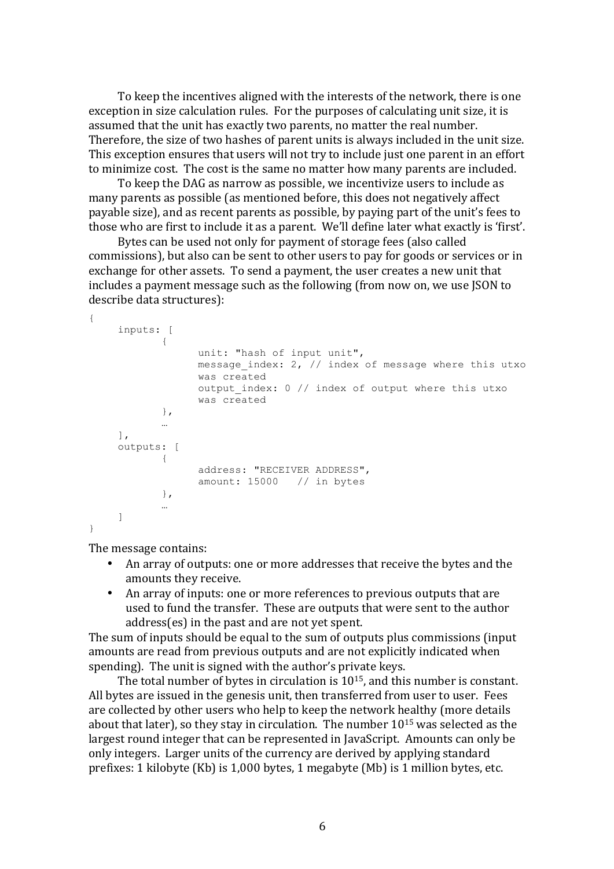To keep the incentives aligned with the interests of the network, there is one exception in size calculation rules. For the purposes of calculating unit size, it is assumed that the unit has exactly two parents, no matter the real number. Therefore, the size of two hashes of parent units is always included in the unit size. This exception ensures that users will not try to include just one parent in an effort to minimize cost. The cost is the same no matter how many parents are included.

To keep the DAG as narrow as possible, we incentivize users to include as many parents as possible (as mentioned before, this does not negatively affect payable size), and as recent parents as possible, by paying part of the unit's fees to those who are first to include it as a parent. We'll define later what exactly is 'first'.

Bytes can be used not only for payment of storage fees (also called commissions), but also can be sent to other users to pay for goods or services or in exchange for other assets. To send a payment, the user creates a new unit that includes a payment message such as the following (from now on, we use JSON to describe data structures):

```
{
    inputs: [
            {
                  unit: "hash of input unit",
                  message index: 2, // index of message where this utxo
                  was created
                  output index: 0 // index of output where this utxo
                  was created
            },
            …
    ],
    outputs: [
            {
                  address: "RECEIVER ADDRESS",
                  amount: 15000 // in bytes
            },
            …
    ]
}
```
The message contains:

- An array of outputs: one or more addresses that receive the bytes and the amounts they receive.
- An array of inputs: one or more references to previous outputs that are used to fund the transfer. These are outputs that were sent to the author address(es) in the past and are not yet spent.

The sum of inputs should be equal to the sum of outputs plus commissions (input amounts are read from previous outputs and are not explicitly indicated when spending). The unit is signed with the author's private keys.

The total number of bytes in circulation is  $10^{15}$ , and this number is constant. All bytes are issued in the genesis unit, then transferred from user to user. Fees are collected by other users who help to keep the network healthy (more details about that later), so they stay in circulation. The number  $10^{15}$  was selected as the largest round integer that can be represented in JavaScript. Amounts can only be only integers. Larger units of the currency are derived by applying standard prefixes: 1 kilobyte  $(Kb)$  is 1,000 bytes, 1 megabyte  $(Mb)$  is 1 million bytes, etc.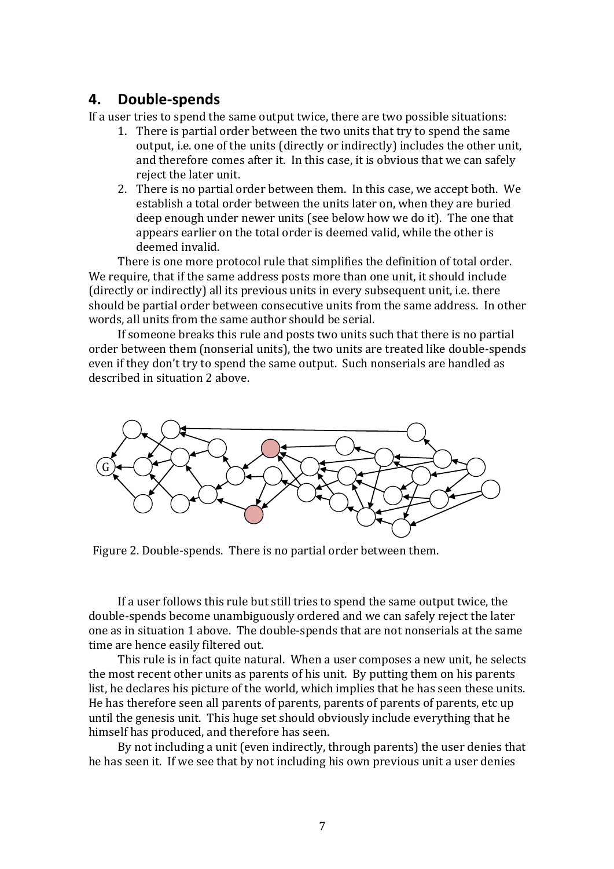## **4. Double-spends**

If a user tries to spend the same output twice, there are two possible situations:

- 1. There is partial order between the two units that try to spend the same output, i.e. one of the units (directly or indirectly) includes the other unit, and therefore comes after it. In this case, it is obvious that we can safely reject the later unit.
- 2. There is no partial order between them. In this case, we accept both. We establish a total order between the units later on, when they are buried deep enough under newer units (see below how we do it). The one that appears earlier on the total order is deemed valid, while the other is deemed invalid.

There is one more protocol rule that simplifies the definition of total order. We require, that if the same address posts more than one unit, it should include (directly or indirectly) all its previous units in every subsequent unit, i.e. there should be partial order between consecutive units from the same address. In other words, all units from the same author should be serial.

If someone breaks this rule and posts two units such that there is no partial order between them (nonserial units), the two units are treated like double-spends even if they don't try to spend the same output. Such nonserials are handled as described in situation 2 above.



Figure 2. Double-spends. There is no partial order between them.

If a user follows this rule but still tries to spend the same output twice, the double-spends become unambiguously ordered and we can safely reject the later one as in situation 1 above. The double-spends that are not nonserials at the same time are hence easily filtered out.

This rule is in fact quite natural. When a user composes a new unit, he selects the most recent other units as parents of his unit. By putting them on his parents list, he declares his picture of the world, which implies that he has seen these units. He has therefore seen all parents of parents, parents of parents of parents, etc up until the genesis unit. This huge set should obviously include everything that he himself has produced, and therefore has seen.

By not including a unit (even indirectly, through parents) the user denies that he has seen it. If we see that by not including his own previous unit a user denies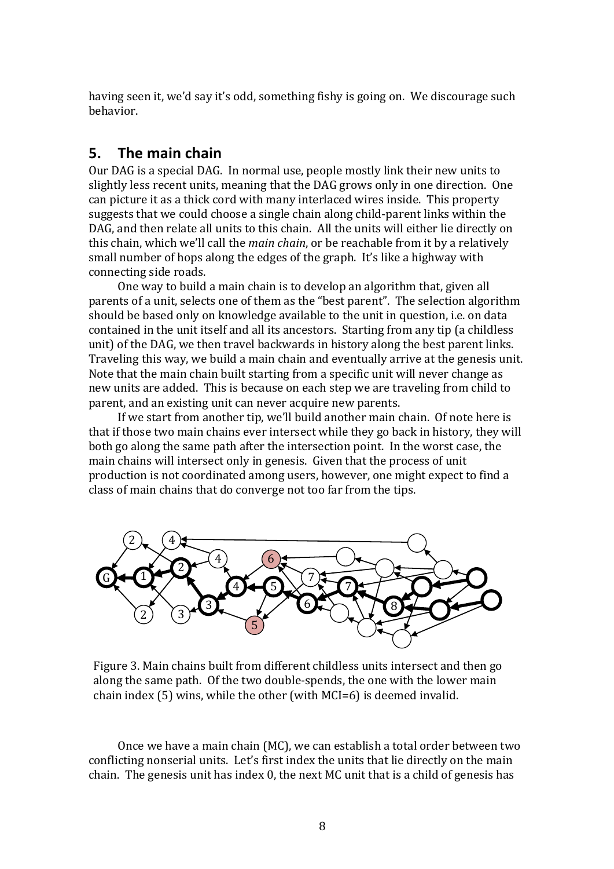having seen it, we'd say it's odd, something fishy is going on. We discourage such behavior.

## **5.** The main chain

Our DAG is a special DAG. In normal use, people mostly link their new units to slightly less recent units, meaning that the DAG grows only in one direction. One can picture it as a thick cord with many interlaced wires inside. This property suggests that we could choose a single chain along child-parent links within the DAG, and then relate all units to this chain. All the units will either lie directly on this chain, which we'll call the *main chain*, or be reachable from it by a relatively small number of hops along the edges of the graph. It's like a highway with connecting side roads.

One way to build a main chain is to develop an algorithm that, given all parents of a unit, selects one of them as the "best parent". The selection algorithm should be based only on knowledge available to the unit in question, i.e. on data contained in the unit itself and all its ancestors. Starting from any tip (a childless unit) of the DAG, we then travel backwards in history along the best parent links. Traveling this way, we build a main chain and eventually arrive at the genesis unit. Note that the main chain built starting from a specific unit will never change as new units are added. This is because on each step we are traveling from child to parent, and an existing unit can never acquire new parents.

If we start from another tip, we'll build another main chain. Of note here is that if those two main chains ever intersect while they go back in history, they will both go along the same path after the intersection point. In the worst case, the main chains will intersect only in genesis. Given that the process of unit production is not coordinated among users, however, one might expect to find a class of main chains that do converge not too far from the tips.



Figure 3. Main chains built from different childless units intersect and then go along the same path. Of the two double-spends, the one with the lower main chain index  $(5)$  wins, while the other (with  $MCI=6$ ) is deemed invalid.

Once we have a main chain (MC), we can establish a total order between two conflicting nonserial units. Let's first index the units that lie directly on the main chain. The genesis unit has index  $0$ , the next MC unit that is a child of genesis has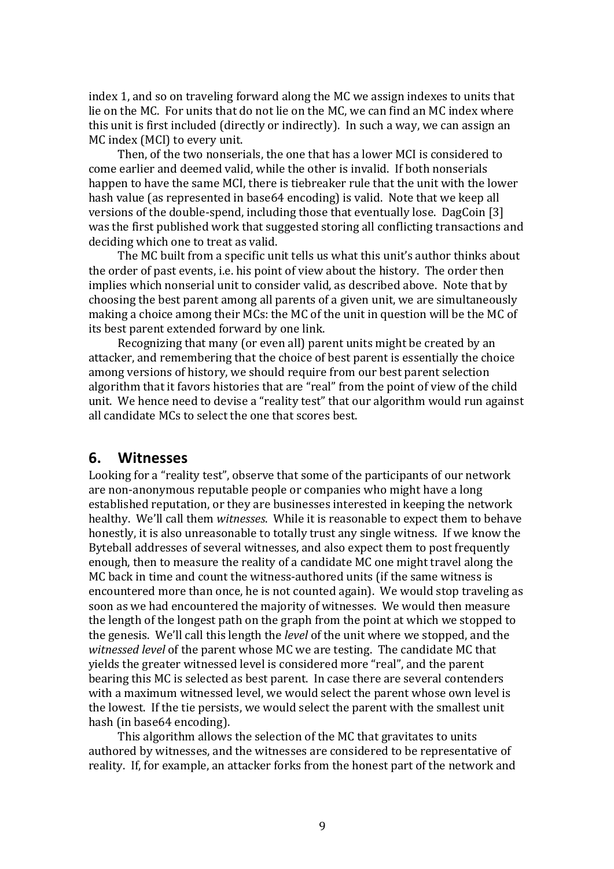index 1, and so on traveling forward along the MC we assign indexes to units that lie on the MC. For units that do not lie on the MC, we can find an MC index where this unit is first included (directly or indirectly). In such a way, we can assign an MC index (MCI) to every unit.

Then, of the two nonserials, the one that has a lower MCI is considered to come earlier and deemed valid, while the other is invalid. If both nonserials happen to have the same MCI, there is tiebreaker rule that the unit with the lower hash value (as represented in base64 encoding) is valid. Note that we keep all versions of the double-spend, including those that eventually lose. DagCoin [3] was the first published work that suggested storing all conflicting transactions and deciding which one to treat as valid.

The MC built from a specific unit tells us what this unit's author thinks about the order of past events, i.e. his point of view about the history. The order then implies which nonserial unit to consider valid, as described above. Note that by choosing the best parent among all parents of a given unit, we are simultaneously making a choice among their MCs: the MC of the unit in question will be the MC of its best parent extended forward by one link.

Recognizing that many (or even all) parent units might be created by an attacker, and remembering that the choice of best parent is essentially the choice among versions of history, we should require from our best parent selection algorithm that it favors histories that are "real" from the point of view of the child unit. We hence need to devise a "reality test" that our algorithm would run against all candidate MCs to select the one that scores best.

#### **6. Witnesses**

Looking for a "reality test", observe that some of the participants of our network are non-anonymous reputable people or companies who might have a long established reputation, or they are businesses interested in keeping the network healthy. We'll call them *witnesses*. While it is reasonable to expect them to behave honestly, it is also unreasonable to totally trust any single witness. If we know the Byteball addresses of several witnesses, and also expect them to post frequently enough, then to measure the reality of a candidate MC one might travel along the MC back in time and count the witness-authored units (if the same witness is encountered more than once, he is not counted again). We would stop traveling as soon as we had encountered the majority of witnesses. We would then measure the length of the longest path on the graph from the point at which we stopped to the genesis. We'll call this length the *level* of the unit where we stopped, and the *witnessed level* of the parent whose MC we are testing. The candidate MC that yields the greater witnessed level is considered more "real", and the parent bearing this MC is selected as best parent. In case there are several contenders with a maximum witnessed level, we would select the parent whose own level is the lowest. If the tie persists, we would select the parent with the smallest unit hash (in base64 encoding).

This algorithm allows the selection of the MC that gravitates to units authored by witnesses, and the witnesses are considered to be representative of reality. If, for example, an attacker forks from the honest part of the network and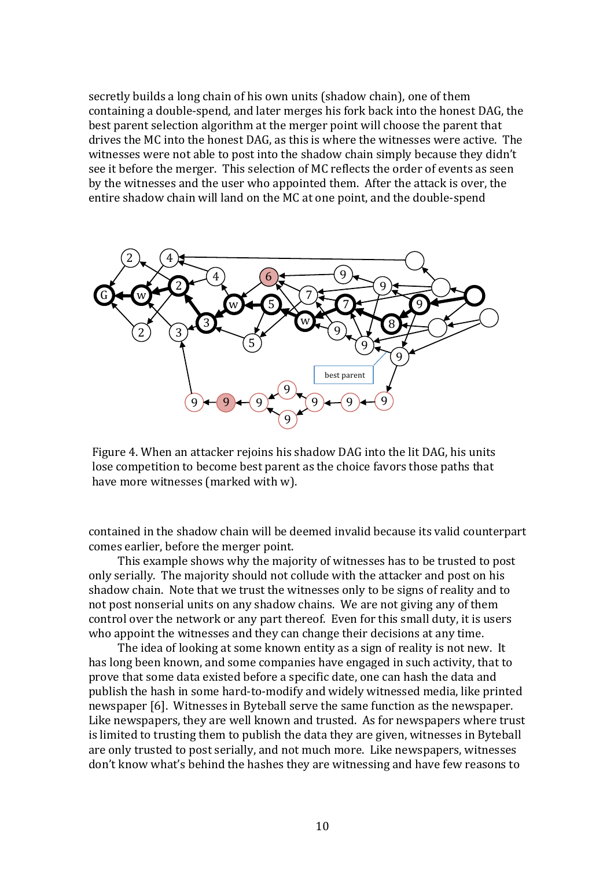secretly builds a long chain of his own units (shadow chain), one of them containing a double-spend, and later merges his fork back into the honest DAG, the best parent selection algorithm at the merger point will choose the parent that drives the MC into the honest DAG, as this is where the witnesses were active. The witnesses were not able to post into the shadow chain simply because they didn't see it before the merger. This selection of MC reflects the order of events as seen by the witnesses and the user who appointed them. After the attack is over, the entire shadow chain will land on the MC at one point, and the double-spend



Figure 4. When an attacker rejoins his shadow DAG into the lit DAG, his units lose competition to become best parent as the choice favors those paths that have more witnesses (marked with w).

contained in the shadow chain will be deemed invalid because its valid counterpart comes earlier, before the merger point.

This example shows why the majority of witnesses has to be trusted to post only serially. The majority should not collude with the attacker and post on his shadow chain. Note that we trust the witnesses only to be signs of reality and to not post nonserial units on any shadow chains. We are not giving any of them control over the network or any part thereof. Even for this small duty, it is users who appoint the witnesses and they can change their decisions at any time.

The idea of looking at some known entity as a sign of reality is not new. It has long been known, and some companies have engaged in such activity, that to prove that some data existed before a specific date, one can hash the data and publish the hash in some hard-to-modify and widely witnessed media, like printed newspaper [6]. Witnesses in Byteball serve the same function as the newspaper. Like newspapers, they are well known and trusted. As for newspapers where trust is limited to trusting them to publish the data they are given, witnesses in Byteball are only trusted to post serially, and not much more. Like newspapers, witnesses don't know what's behind the hashes they are witnessing and have few reasons to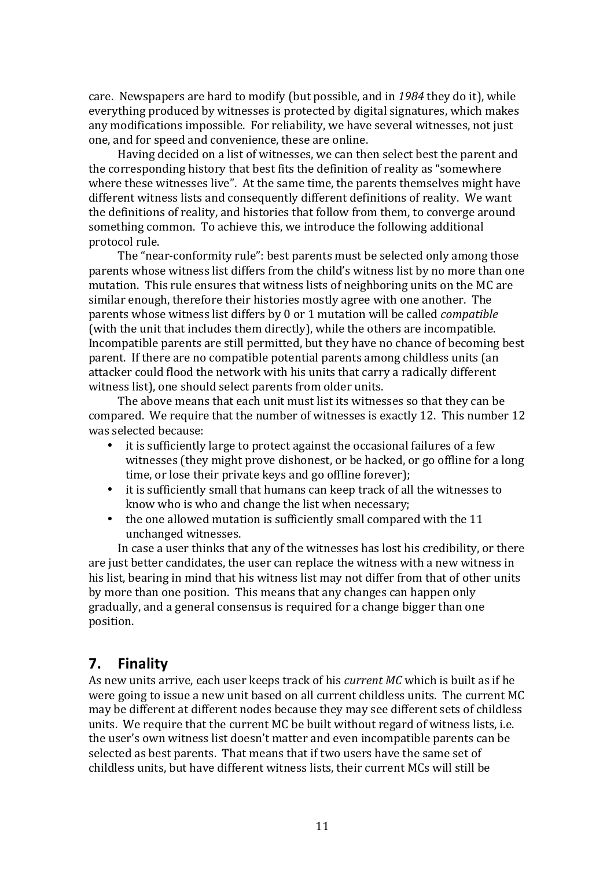care. Newspapers are hard to modify (but possible, and in 1984 they do it), while everything produced by witnesses is protected by digital signatures, which makes any modifications impossible. For reliability, we have several witnesses, not just one, and for speed and convenience, these are online.

Having decided on a list of witnesses, we can then select best the parent and the corresponding history that best fits the definition of reality as "somewhere where these witnesses live". At the same time, the parents themselves might have different witness lists and consequently different definitions of reality. We want the definitions of reality, and histories that follow from them, to converge around something common. To achieve this, we introduce the following additional protocol rule.

The "near-conformity rule": best parents must be selected only among those parents whose witness list differs from the child's witness list by no more than one mutation. This rule ensures that witness lists of neighboring units on the MC are similar enough, therefore their histories mostly agree with one another. The parents whose witness list differs by 0 or 1 mutation will be called *compatible* (with the unit that includes them directly), while the others are incompatible. Incompatible parents are still permitted, but they have no chance of becoming best parent. If there are no compatible potential parents among childless units (an attacker could flood the network with his units that carry a radically different witness list), one should select parents from older units.

The above means that each unit must list its witnesses so that they can be compared. We require that the number of witnesses is exactly 12. This number 12 was selected because:

- $\bullet$  it is sufficiently large to protect against the occasional failures of a few witnesses (they might prove dishonest, or be hacked, or go offline for a long time, or lose their private keys and go offline forever);
- it is sufficiently small that humans can keep track of all the witnesses to know who is who and change the list when necessary;
- the one allowed mutation is sufficiently small compared with the 11 unchanged witnesses.

In case a user thinks that any of the witnesses has lost his credibility, or there are just better candidates, the user can replace the witness with a new witness in his list, bearing in mind that his witness list may not differ from that of other units by more than one position. This means that any changes can happen only gradually, and a general consensus is required for a change bigger than one position.

## **7. Finality**

As new units arrive, each user keeps track of his *current MC* which is built as if he were going to issue a new unit based on all current childless units. The current MC may be different at different nodes because they may see different sets of childless units. We require that the current MC be built without regard of witness lists, *i.e.* the user's own witness list doesn't matter and even incompatible parents can be selected as best parents. That means that if two users have the same set of childless units, but have different witness lists, their current MCs will still be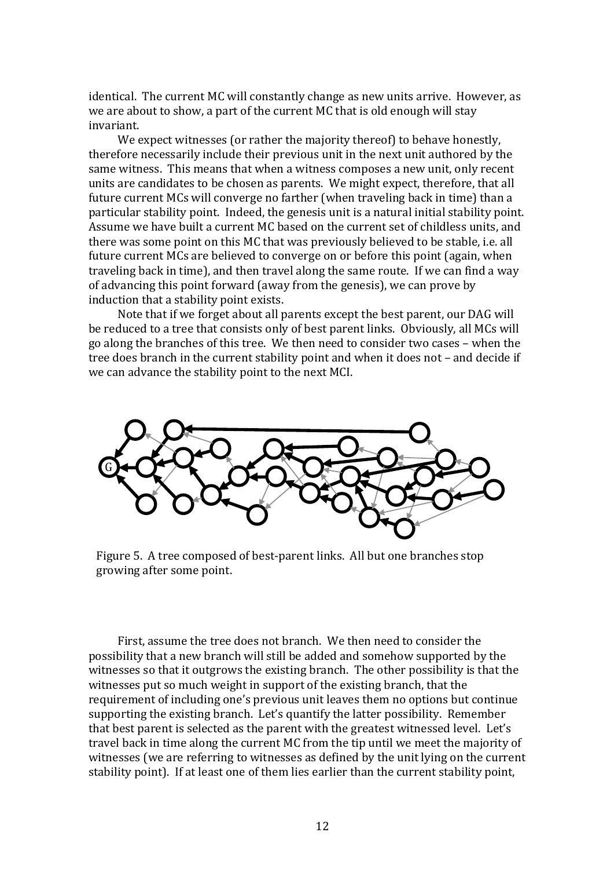identical. The current MC will constantly change as new units arrive. However, as we are about to show, a part of the current MC that is old enough will stay invariant.

We expect witnesses (or rather the majority thereof) to behave honestly, therefore necessarily include their previous unit in the next unit authored by the same witness. This means that when a witness composes a new unit, only recent units are candidates to be chosen as parents. We might expect, therefore, that all future current MCs will converge no farther (when traveling back in time) than a particular stability point. Indeed, the genesis unit is a natural initial stability point. Assume we have built a current MC based on the current set of childless units, and there was some point on this MC that was previously believed to be stable, i.e. all future current MCs are believed to converge on or before this point (again, when traveling back in time), and then travel along the same route. If we can find a way of advancing this point forward (away from the genesis), we can prove by induction that a stability point exists.

Note that if we forget about all parents except the best parent, our DAG will be reduced to a tree that consists only of best parent links. Obviously, all MCs will go along the branches of this tree. We then need to consider two cases – when the tree does branch in the current stability point and when it does not - and decide if we can advance the stability point to the next MCI.



Figure 5. A tree composed of best-parent links. All but one branches stop growing after some point.

First, assume the tree does not branch. We then need to consider the possibility that a new branch will still be added and somehow supported by the witnesses so that it outgrows the existing branch. The other possibility is that the witnesses put so much weight in support of the existing branch, that the requirement of including one's previous unit leaves them no options but continue supporting the existing branch. Let's quantify the latter possibility. Remember that best parent is selected as the parent with the greatest witnessed level. Let's travel back in time along the current MC from the tip until we meet the majority of witnesses (we are referring to witnesses as defined by the unit lying on the current stability point). If at least one of them lies earlier than the current stability point,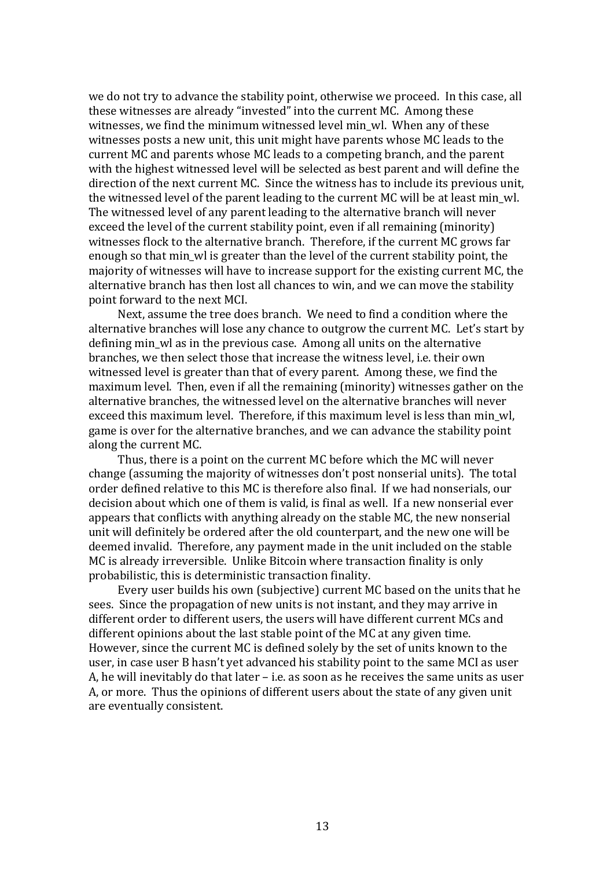we do not try to advance the stability point, otherwise we proceed. In this case, all these witnesses are already "invested" into the current MC. Among these witnesses, we find the minimum witnessed level min wl. When any of these witnesses posts a new unit, this unit might have parents whose MC leads to the current MC and parents whose MC leads to a competing branch, and the parent with the highest witnessed level will be selected as best parent and will define the direction of the next current MC. Since the witness has to include its previous unit, the witnessed level of the parent leading to the current MC will be at least min wl. The witnessed level of any parent leading to the alternative branch will never exceed the level of the current stability point, even if all remaining (minority) witnesses flock to the alternative branch. Therefore, if the current MC grows far enough so that min wl is greater than the level of the current stability point, the majority of witnesses will have to increase support for the existing current MC, the alternative branch has then lost all chances to win, and we can move the stability point forward to the next MCI.

Next, assume the tree does branch. We need to find a condition where the alternative branches will lose any chance to outgrow the current MC. Let's start by defining min wl as in the previous case. Among all units on the alternative branches, we then select those that increase the witness level, i.e. their own witnessed level is greater than that of every parent. Among these, we find the maximum level. Then, even if all the remaining (minority) witnesses gather on the alternative branches, the witnessed level on the alternative branches will never exceed this maximum level. Therefore, if this maximum level is less than min wl, game is over for the alternative branches, and we can advance the stability point along the current MC.

Thus, there is a point on the current MC before which the MC will never change (assuming the majority of witnesses don't post nonserial units). The total order defined relative to this MC is therefore also final. If we had nonserials, our decision about which one of them is valid, is final as well. If a new nonserial ever appears that conflicts with anything already on the stable MC, the new nonserial unit will definitely be ordered after the old counterpart, and the new one will be deemed invalid. Therefore, any payment made in the unit included on the stable MC is already irreversible. Unlike Bitcoin where transaction finality is only probabilistic, this is deterministic transaction finality.

Every user builds his own (subjective) current MC based on the units that he sees. Since the propagation of new units is not instant, and they may arrive in different order to different users, the users will have different current MCs and different opinions about the last stable point of the MC at any given time. However, since the current MC is defined solely by the set of units known to the user, in case user B hasn't vet advanced his stability point to the same MCI as user A, he will inevitably do that later  $-$  i.e. as soon as he receives the same units as user A, or more. Thus the opinions of different users about the state of any given unit are eventually consistent.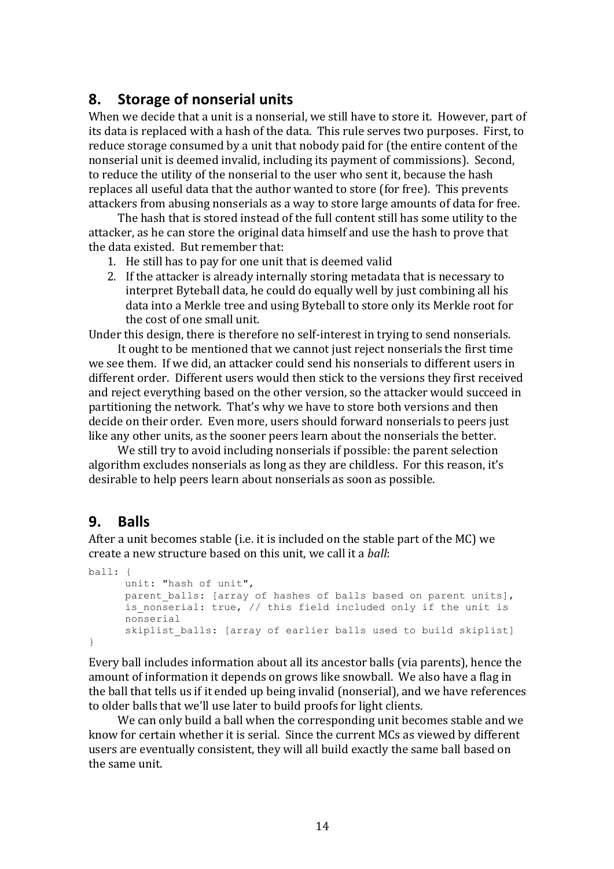## **8. Storage of nonserial units**

When we decide that a unit is a nonserial, we still have to store it. However, part of its data is replaced with a hash of the data. This rule serves two purposes. First, to reduce storage consumed by a unit that nobody paid for (the entire content of the nonserial unit is deemed invalid, including its payment of commissions). Second, to reduce the utility of the nonserial to the user who sent it, because the hash replaces all useful data that the author wanted to store (for free). This prevents attackers from abusing nonserials as a way to store large amounts of data for free.

The hash that is stored instead of the full content still has some utility to the attacker, as he can store the original data himself and use the hash to prove that the data existed. But remember that:

- 1. He still has to pay for one unit that is deemed valid
- 2. If the attacker is already internally storing metadata that is necessary to interpret Byteball data, he could do equally well by just combining all his data into a Merkle tree and using Byteball to store only its Merkle root for the cost of one small unit.

Under this design, there is therefore no self-interest in trying to send nonserials.

It ought to be mentioned that we cannot just reject nonserials the first time we see them. If we did, an attacker could send his nonserials to different users in different order. Different users would then stick to the versions they first received and reject everything based on the other version, so the attacker would succeed in partitioning the network. That's why we have to store both versions and then decide on their order. Even more, users should forward nonserials to peers just like any other units, as the sooner peers learn about the nonserials the better.

We still try to avoid including nonserials if possible: the parent selection algorithm excludes nonserials as long as they are childless. For this reason, it's desirable to help peers learn about nonserials as soon as possible.

## **9. Balls**

After a unit becomes stable (i.e. it is included on the stable part of the  $MC$ ) we create a new structure based on this unit, we call it a *ball*:

```
ball: {
      unit: "hash of unit",
      parent balls: [array of hashes of balls based on parent units],
      is nonserial: true, // this field included only if the unit is
      nonserial
      skiplist balls: [array of earlier balls used to build skiplist]
\mathbf{I}
```
Every ball includes information about all its ancestor balls (via parents), hence the amount of information it depends on grows like snowball. We also have a flag in the ball that tells us if it ended up being invalid (nonserial), and we have references to older balls that we'll use later to build proofs for light clients.

We can only build a ball when the corresponding unit becomes stable and we know for certain whether it is serial. Since the current MCs as viewed by different users are eventually consistent, they will all build exactly the same ball based on the same unit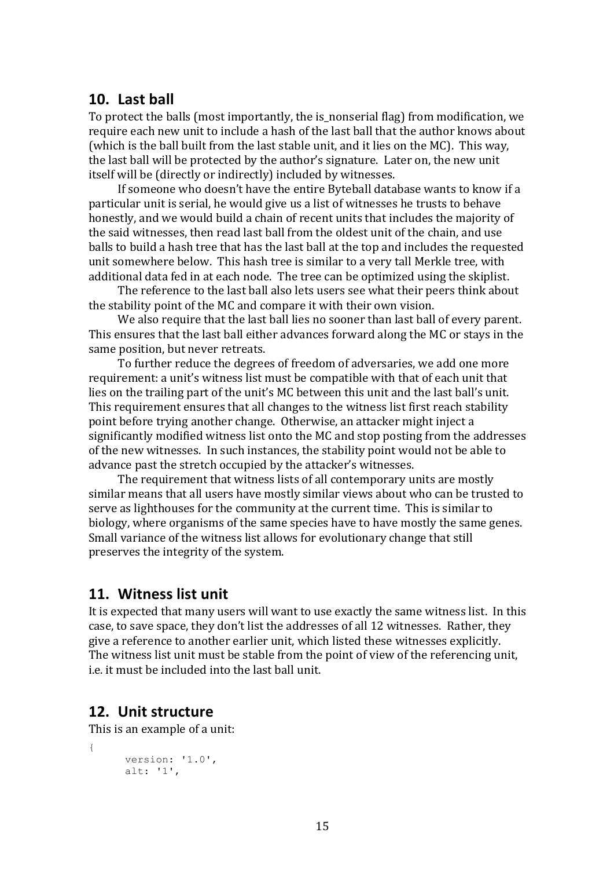### **10. Last ball**

To protect the balls (most importantly, the is nonserial flag) from modification, we require each new unit to include a hash of the last ball that the author knows about (which is the ball built from the last stable unit, and it lies on the MC). This way, the last ball will be protected by the author's signature. Later on, the new unit itself will be (directly or indirectly) included by witnesses.

If someone who doesn't have the entire Byteball database wants to know if a particular unit is serial, he would give us a list of witnesses he trusts to behave honestly, and we would build a chain of recent units that includes the majority of the said witnesses, then read last ball from the oldest unit of the chain, and use balls to build a hash tree that has the last ball at the top and includes the requested unit somewhere below. This hash tree is similar to a very tall Merkle tree, with additional data fed in at each node. The tree can be optimized using the skiplist.

The reference to the last ball also lets users see what their peers think about the stability point of the MC and compare it with their own vision.

We also require that the last ball lies no sooner than last ball of every parent. This ensures that the last ball either advances forward along the MC or stays in the same position, but never retreats.

To further reduce the degrees of freedom of adversaries, we add one more requirement: a unit's witness list must be compatible with that of each unit that lies on the trailing part of the unit's MC between this unit and the last ball's unit. This requirement ensures that all changes to the witness list first reach stability point before trying another change. Otherwise, an attacker might inject a significantly modified witness list onto the MC and stop posting from the addresses of the new witnesses. In such instances, the stability point would not be able to advance past the stretch occupied by the attacker's witnesses.

The requirement that witness lists of all contemporary units are mostly similar means that all users have mostly similar views about who can be trusted to serve as lighthouses for the community at the current time. This is similar to biology, where organisms of the same species have to have mostly the same genes. Small variance of the witness list allows for evolutionary change that still preserves the integrity of the system.

## **11. Witness list unit**

It is expected that many users will want to use exactly the same witness list. In this case, to save space, they don't list the addresses of all 12 witnesses. Rather, they give a reference to another earlier unit, which listed these witnesses explicitly. The witness list unit must be stable from the point of view of the referencing unit, i.e. it must be included into the last hall unit.

## **12. Unit structure**

{

This is an example of a unit:

```
version: '1.0',
alt: '1',
```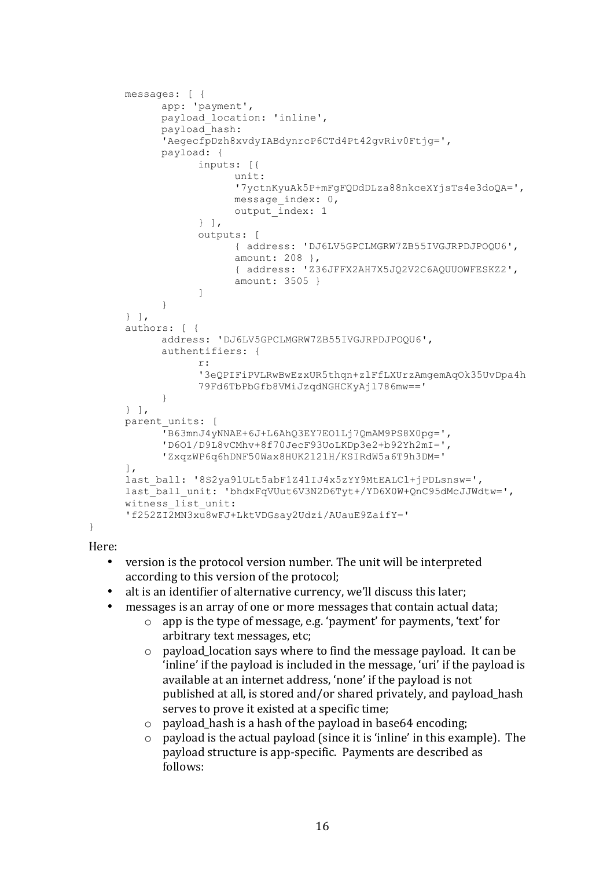```
messages: [ { 
     app: 'payment',
      payload_location: 'inline',
      payload_hash: 
      'AegecfpDzh8xvdyIABdynrcP6CTd4Pt42gvRiv0Ftjg=',
      payload: {
            inputs: [{
                  unit: 
                  '7yctnKyuAk5P+mFgFQDdDLza88nkceXYjsTs4e3doQA=',
                  message_index: 0,
                  output index: 1
            } ],
            outputs: [
                   { address: 'DJ6LV5GPCLMGRW7ZB55IVGJRPDJPOQU6', 
                  amount: 208 },
                  { address: 'Z36JFFX2AH7X5JQ2V2C6AQUUOWFESKZ2', 
                  amount: 3505 } 
            ]
      } 
} ],
authors: [ {
      address: 'DJ6LV5GPCLMGRW7ZB55IVGJRPDJPOQU6',
      authentifiers: { 
            r: 
            '3eQPIFiPVLRwBwEzxUR5thqn+zlFfLXUrzAmgemAqOk35UvDpa4h
            79Fd6TbPbGfb8VMiJzqdNGHCKyAjl786mw==' 
      } 
} ],
parent units: [
      'B63mnJ4yNNAE+6J+L6AhQ3EY7EO1Lj7QmAM9PS8X0pg=',
      'D6O1/D9L8vCMhv+8f70JecF93UoLKDp3e2+b92Yh2mI=',
      'ZxqzWP6q6hDNF50Wax8HUK212lH/KSIRdW5a6T9h3DM='
],
last_ball: '8S2ya9lULt5abF1Z4lIJ4x5zYY9MtEALCl+jPDLsnsw=',
last_ball_unit: 'bhdxFqVUut6V3N2D6Tyt+/YD6X0W+QnC95dMcJJWdtw=',
witness \overline{\text{list}} unit:
'f252ZI2MN3xu8wFJ+LktVDGsay2Udzi/AUauE9ZaifY='
```

```
}
```
Here: 

- version is the protocol version number. The unit will be interpreted according to this version of the protocol;
- alt is an identifier of alternative currency, we'll discuss this later;
- messages is an array of one or more messages that contain actual data;
	- $\circ$  app is the type of message, e.g. 'payment' for payments, 'text' for arbitrary text messages, etc;
	- $\circ$  payload location says where to find the message payload. It can be 'inline' if the payload is included in the message, 'uri' if the payload is available at an internet address, 'none' if the payload is not published at all, is stored and/or shared privately, and payload\_hash serves to prove it existed at a specific time;
	- $\circ$  payload hash is a hash of the payload in base64 encoding;
	- $\circ$  payload is the actual payload (since it is 'inline' in this example). The payload structure is app-specific. Payments are described as follows: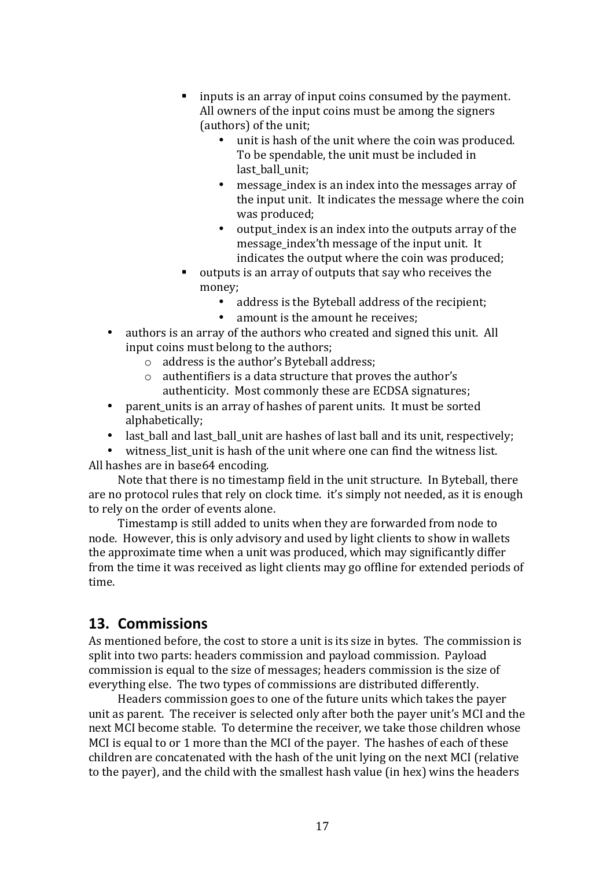- $\blacksquare$  inputs is an array of input coins consumed by the payment. All owners of the input coins must be among the signers (authors) of the unit;
	- unit is hash of the unit where the coin was produced. To be spendable, the unit must be included in last ball unit:
	- message index is an index into the messages array of the input unit. It indicates the message where the coin was produced:
	- output index is an index into the outputs array of the message index'th message of the input unit. It indicates the output where the coin was produced;
- outputs is an array of outputs that say who receives the money;
	- address is the Byteball address of the recipient;
	- amount is the amount he receives;
- authors is an array of the authors who created and signed this unit. All input coins must belong to the authors;
	- $\circ$  address is the author's Byteball address;
	- $\circ$  authentifiers is a data structure that proves the author's authenticity. Most commonly these are ECDSA signatures;
- parent units is an array of hashes of parent units. It must be sorted alphabetically;
- last\_ball and last\_ball\_unit are hashes of last ball and its unit, respectively;
- witness list unit is hash of the unit where one can find the witness list. All hashes are in base64 encoding.

Note that there is no timestamp field in the unit structure. In Byteball, there are no protocol rules that rely on clock time. it's simply not needed, as it is enough to rely on the order of events alone.

Timestamp is still added to units when they are forwarded from node to node. However, this is only advisory and used by light clients to show in wallets the approximate time when a unit was produced, which may significantly differ from the time it was received as light clients may go offline for extended periods of time.

## **13. Commissions**

As mentioned before, the cost to store a unit is its size in bytes. The commission is split into two parts: headers commission and payload commission. Payload commission is equal to the size of messages; headers commission is the size of everything else. The two types of commissions are distributed differently.

Headers commission goes to one of the future units which takes the payer unit as parent. The receiver is selected only after both the payer unit's MCI and the next MCI become stable. To determine the receiver, we take those children whose MCI is equal to or 1 more than the MCI of the payer. The hashes of each of these children are concatenated with the hash of the unit lying on the next MCI (relative to the payer), and the child with the smallest hash value (in hex) wins the headers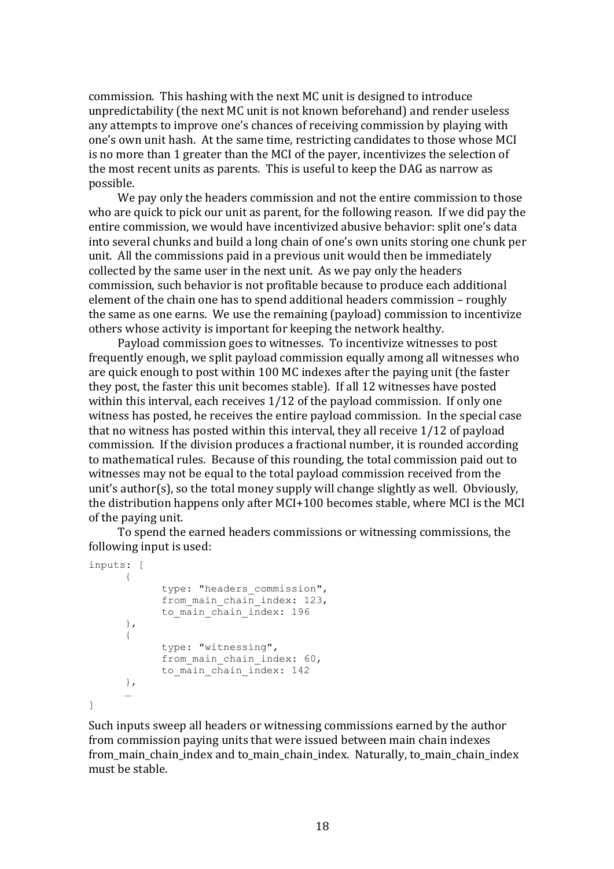commission. This hashing with the next MC unit is designed to introduce unpredictability (the next MC unit is not known beforehand) and render useless any attempts to improve one's chances of receiving commission by playing with one's own unit hash. At the same time, restricting candidates to those whose MCI is no more than 1 greater than the MCI of the payer, incentivizes the selection of the most recent units as parents. This is useful to keep the DAG as narrow as possible.

We pay only the headers commission and not the entire commission to those who are quick to pick our unit as parent, for the following reason. If we did pay the entire commission, we would have incentivized abusive behavior: split one's data into several chunks and build a long chain of one's own units storing one chunk per unit. All the commissions paid in a previous unit would then be immediately collected by the same user in the next unit. As we pay only the headers commission, such behavior is not profitable because to produce each additional element of the chain one has to spend additional headers commission – roughly the same as one earns. We use the remaining (payload) commission to incentivize others whose activity is important for keeping the network healthy.

Payload commission goes to witnesses. To incentivize witnesses to post frequently enough, we split payload commission equally among all witnesses who are quick enough to post within 100 MC indexes after the paying unit (the faster they post, the faster this unit becomes stable). If all 12 witnesses have posted within this interval, each receives  $1/12$  of the payload commission. If only one witness has posted, he receives the entire payload commission. In the special case that no witness has posted within this interval, they all receive  $1/12$  of payload commission. If the division produces a fractional number, it is rounded according to mathematical rules. Because of this rounding, the total commission paid out to witnesses may not be equal to the total payload commission received from the unit's author(s), so the total money supply will change slightly as well. Obviously, the distribution happens only after  $MCI+100$  becomes stable, where  $MCI$  is the MCI of the paving unit.

To spend the earned headers commissions or witnessing commissions, the following input is used:

```
inputs: [
      {
            type: "headers commission",
            from main chain index: 123,
            to main chain index: 196
      },
      {
            type: "witnessing",
            from main chain index: 60,
            to main chain index: 142
      },
      …
]
```
Such inputs sweep all headers or witnessing commissions earned by the author from commission paying units that were issued between main chain indexes from main chain index and to main chain index. Naturally, to main chain index must be stable.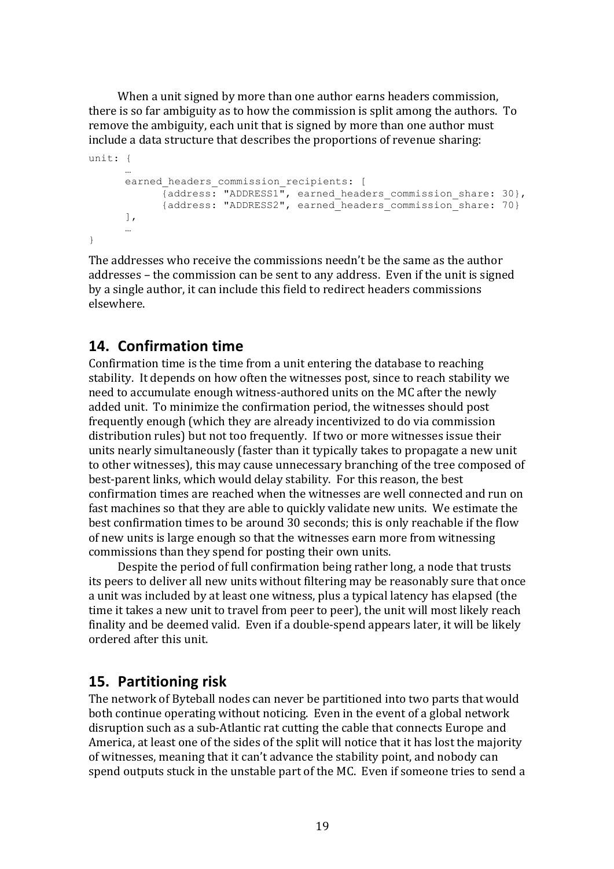When a unit signed by more than one author earns headers commission, there is so far ambiguity as to how the commission is split among the authors. To remove the ambiguity, each unit that is signed by more than one author must include a data structure that describes the proportions of revenue sharing:

```
unit: {
      …
      earned headers commission recipients: [
            {address: "ADDRESS1", earned_headers_commission_share: 30},
            {address: "ADDRESS2", earned_headers_commission_share: 70}
      ],
      …
}
```
The addresses who receive the commissions needn't be the same as the author addresses – the commission can be sent to any address. Even if the unit is signed by a single author, it can include this field to redirect headers commissions elsewhere.

## **14. Confirmation time**

Confirmation time is the time from a unit entering the database to reaching stability. It depends on how often the witnesses post, since to reach stability we need to accumulate enough witness-authored units on the MC after the newly added unit. To minimize the confirmation period, the witnesses should post frequently enough (which they are already incentivized to do via commission distribution rules) but not too frequently. If two or more witnesses issue their units nearly simultaneously (faster than it typically takes to propagate a new unit to other witnesses), this may cause unnecessary branching of the tree composed of best-parent links, which would delay stability. For this reason, the best confirmation times are reached when the witnesses are well connected and run on fast machines so that they are able to quickly validate new units. We estimate the best confirmation times to be around 30 seconds; this is only reachable if the flow of new units is large enough so that the witnesses earn more from witnessing commissions than they spend for posting their own units.

Despite the period of full confirmation being rather long, a node that trusts its peers to deliver all new units without filtering may be reasonably sure that once a unit was included by at least one witness, plus a typical latency has elapsed (the time it takes a new unit to travel from peer to peer), the unit will most likely reach finality and be deemed valid. Even if a double-spend appears later, it will be likely ordered after this unit.

## **15. Partitioning risk**

The network of Byteball nodes can never be partitioned into two parts that would both continue operating without noticing. Even in the event of a global network disruption such as a sub-Atlantic rat cutting the cable that connects Europe and America, at least one of the sides of the split will notice that it has lost the majority of witnesses, meaning that it can't advance the stability point, and nobody can spend outputs stuck in the unstable part of the MC. Even if someone tries to send a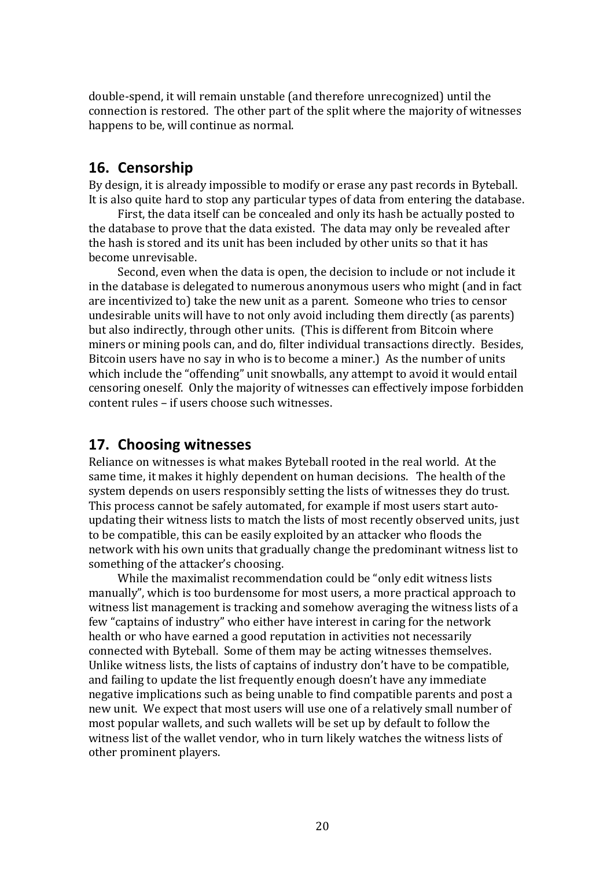double-spend, it will remain unstable (and therefore unrecognized) until the connection is restored. The other part of the split where the majority of witnesses happens to be, will continue as normal.

### **16. Censorship**

By design, it is already impossible to modify or erase any past records in Byteball. It is also quite hard to stop any particular types of data from entering the database.

First, the data itself can be concealed and only its hash be actually posted to the database to prove that the data existed. The data may only be revealed after the hash is stored and its unit has been included by other units so that it has become unrevisable. 

Second, even when the data is open, the decision to include or not include it in the database is delegated to numerous anonymous users who might (and in fact) are incentivized to) take the new unit as a parent. Someone who tries to censor undesirable units will have to not only avoid including them directly (as parents) but also indirectly, through other units. (This is different from Bitcoin where miners or mining pools can, and do, filter individual transactions directly. Besides, Bitcoin users have no say in who is to become a miner.) As the number of units which include the "offending" unit snowballs, any attempt to avoid it would entail censoring oneself. Only the majority of witnesses can effectively impose forbidden content rules – if users choose such witnesses.

### **17. Choosing witnesses**

Reliance on witnesses is what makes Byteball rooted in the real world. At the same time, it makes it highly dependent on human decisions. The health of the system depends on users responsibly setting the lists of witnesses they do trust. This process cannot be safely automated, for example if most users start autoupdating their witness lists to match the lists of most recently observed units, just to be compatible, this can be easily exploited by an attacker who floods the network with his own units that gradually change the predominant witness list to something of the attacker's choosing.

While the maximalist recommendation could be "only edit witness lists" manually", which is too burdensome for most users, a more practical approach to witness list management is tracking and somehow averaging the witness lists of a few "captains of industry" who either have interest in caring for the network health or who have earned a good reputation in activities not necessarily connected with Byteball. Some of them may be acting witnesses themselves. Unlike witness lists, the lists of captains of industry don't have to be compatible. and failing to update the list frequently enough doesn't have any immediate negative implications such as being unable to find compatible parents and post a new unit. We expect that most users will use one of a relatively small number of most popular wallets, and such wallets will be set up by default to follow the witness list of the wallet vendor, who in turn likely watches the witness lists of other prominent players.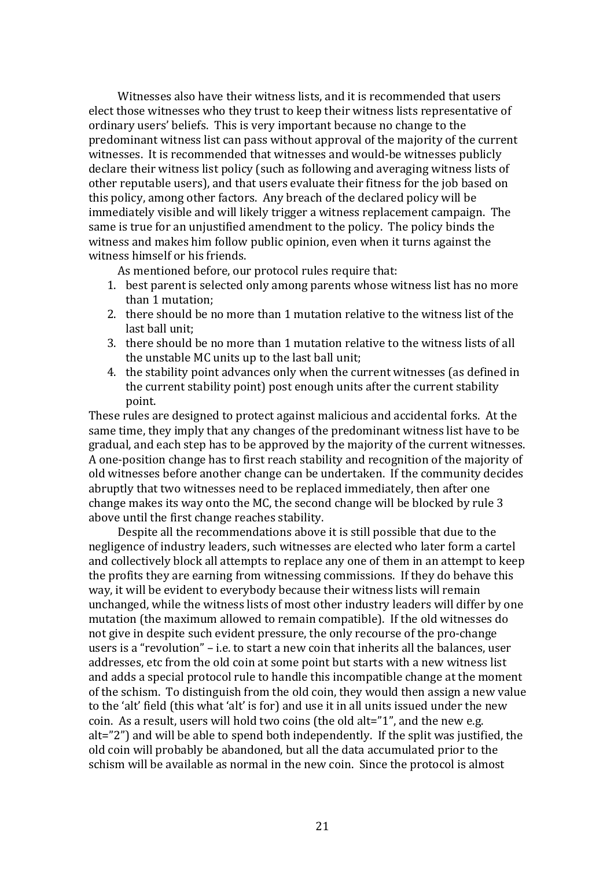Witnesses also have their witness lists, and it is recommended that users elect those witnesses who they trust to keep their witness lists representative of ordinary users' beliefs. This is very important because no change to the predominant witness list can pass without approval of the majority of the current witnesses. It is recommended that witnesses and would-be witnesses publicly declare their witness list policy (such as following and averaging witness lists of other reputable users), and that users evaluate their fitness for the job based on this policy, among other factors. Any breach of the declared policy will be immediately visible and will likely trigger a witness replacement campaign. The same is true for an unjustified amendment to the policy. The policy binds the witness and makes him follow public opinion, even when it turns against the witness himself or his friends.

As mentioned before, our protocol rules require that:

- 1. best parent is selected only among parents whose witness list has no more than 1 mutation:
- 2. there should be no more than 1 mutation relative to the witness list of the last ball unit:
- 3. there should be no more than 1 mutation relative to the witness lists of all the unstable MC units up to the last ball unit;
- 4. the stability point advances only when the current witnesses (as defined in the current stability point) post enough units after the current stability point.

These rules are designed to protect against malicious and accidental forks. At the same time, they imply that any changes of the predominant witness list have to be gradual, and each step has to be approved by the majority of the current witnesses. A one-position change has to first reach stability and recognition of the majority of old witnesses before another change can be undertaken. If the community decides abruptly that two witnesses need to be replaced immediately, then after one change makes its way onto the MC, the second change will be blocked by rule 3 above until the first change reaches stability.

Despite all the recommendations above it is still possible that due to the negligence of industry leaders, such witnesses are elected who later form a cartel and collectively block all attempts to replace any one of them in an attempt to keep the profits they are earning from witnessing commissions. If they do behave this way, it will be evident to everybody because their witness lists will remain unchanged, while the witness lists of most other industry leaders will differ by one mutation (the maximum allowed to remain compatible). If the old witnesses do not give in despite such evident pressure, the only recourse of the pro-change users is a "revolution"  $-$  i.e. to start a new coin that inherits all the balances, user addresses, etc from the old coin at some point but starts with a new witness list and adds a special protocol rule to handle this incompatible change at the moment of the schism. To distinguish from the old coin, they would then assign a new value to the 'alt' field (this what 'alt' is for) and use it in all units issued under the new coin. As a result, users will hold two coins (the old alt="1", and the new e.g. alt="2") and will be able to spend both independently. If the split was justified, the old coin will probably be abandoned, but all the data accumulated prior to the schism will be available as normal in the new coin. Since the protocol is almost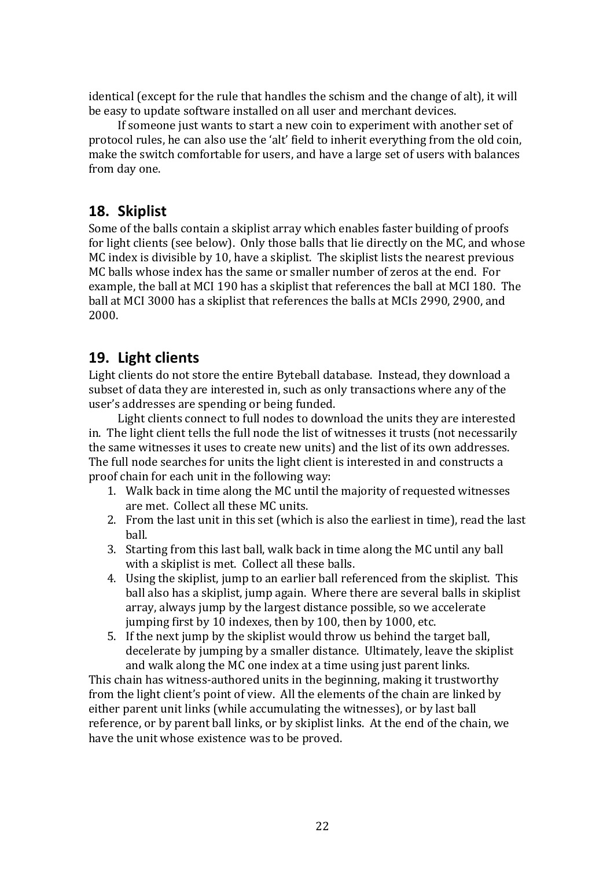identical (except for the rule that handles the schism and the change of alt), it will be easy to update software installed on all user and merchant devices.

If someone just wants to start a new coin to experiment with another set of protocol rules, he can also use the 'alt' field to inherit everything from the old coin, make the switch comfortable for users, and have a large set of users with balances from day one.

## **18. Skiplist**

Some of the balls contain a skiplist array which enables faster building of proofs for light clients (see below). Only those balls that lie directly on the MC, and whose MC index is divisible by 10, have a skiplist. The skiplist lists the nearest previous MC balls whose index has the same or smaller number of zeros at the end. For example, the ball at MCI 190 has a skiplist that references the ball at MCI 180. The ball at MCI 3000 has a skiplist that references the balls at MCIs 2990, 2900, and 2000.

## **19. Light clients**

Light clients do not store the entire Byteball database. Instead, they download a subset of data they are interested in, such as only transactions where any of the user's addresses are spending or being funded.

Light clients connect to full nodes to download the units they are interested in. The light client tells the full node the list of witnesses it trusts (not necessarily the same witnesses it uses to create new units) and the list of its own addresses. The full node searches for units the light client is interested in and constructs a proof chain for each unit in the following way:

- 1. Walk back in time along the MC until the majority of requested witnesses are met. Collect all these MC units.
- 2. From the last unit in this set (which is also the earliest in time), read the last ball.
- 3. Starting from this last ball, walk back in time along the MC until any ball with a skiplist is met. Collect all these balls.
- 4. Using the skiplist, jump to an earlier ball referenced from the skiplist. This ball also has a skiplist, jump again. Where there are several balls in skiplist array, always jump by the largest distance possible, so we accelerate jumping first by 10 indexes, then by 100, then by 1000, etc.
- 5. If the next jump by the skiplist would throw us behind the target ball, decelerate by jumping by a smaller distance. Ultimately, leave the skiplist and walk along the MC one index at a time using just parent links.

This chain has witness-authored units in the beginning, making it trustworthy from the light client's point of view. All the elements of the chain are linked by either parent unit links (while accumulating the witnesses), or by last ball reference, or by parent ball links, or by skiplist links. At the end of the chain, we have the unit whose existence was to be proved.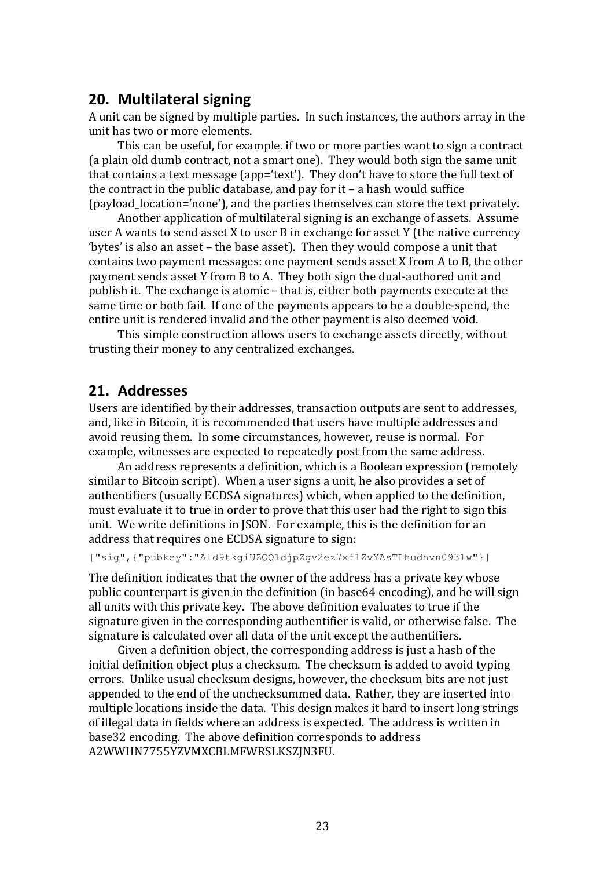### **20. Multilateral signing**

A unit can be signed by multiple parties. In such instances, the authors array in the unit has two or more elements.

This can be useful, for example. if two or more parties want to sign a contract (a plain old dumb contract, not a smart one). They would both sign the same unit that contains a text message (app='text'). They don't have to store the full text of the contract in the public database, and pay for it  $-$  a hash would suffice (payload location='none'), and the parties themselves can store the text privately.

Another application of multilateral signing is an exchange of assets. Assume user A wants to send asset X to user B in exchange for asset Y (the native currency 'bytes' is also an asset – the base asset). Then they would compose a unit that contains two payment messages: one payment sends asset X from A to B, the other payment sends asset Y from B to A. They both sign the dual-authored unit and publish it. The exchange is atomic – that is, either both payments execute at the same time or both fail. If one of the payments appears to be a double-spend, the entire unit is rendered invalid and the other payment is also deemed void.

This simple construction allows users to exchange assets directly, without trusting their money to any centralized exchanges.

### **21. Addresses**

Users are identified by their addresses, transaction outputs are sent to addresses, and, like in Bitcoin, it is recommended that users have multiple addresses and avoid reusing them. In some circumstances, however, reuse is normal. For example, witnesses are expected to repeatedly post from the same address.

An address represents a definition, which is a Boolean expression (remotely similar to Bitcoin script). When a user signs a unit, he also provides a set of authentifiers (usually ECDSA signatures) which, when applied to the definition, must evaluate it to true in order to prove that this user had the right to sign this unit. We write definitions in JSON. For example, this is the definition for an address that requires one ECDSA signature to sign:

["sig",{"pubkey":"Ald9tkgiUZQQ1djpZgv2ez7xf1ZvYAsTLhudhvn0931w"}]

The definition indicates that the owner of the address has a private key whose public counterpart is given in the definition (in base64 encoding), and he will sign all units with this private key. The above definition evaluates to true if the signature given in the corresponding authentifier is valid, or otherwise false. The signature is calculated over all data of the unit except the authentifiers.

Given a definition object, the corresponding address is just a hash of the initial definition object plus a checksum. The checksum is added to avoid typing errors. Unlike usual checksum designs, however, the checksum bits are not just appended to the end of the unchecksummed data. Rather, they are inserted into multiple locations inside the data. This design makes it hard to insert long strings of illegal data in fields where an address is expected. The address is written in base 32 encoding. The above definition corresponds to address A2WWHN7755YZVMXCBLMFWRSLKSZJN3FU.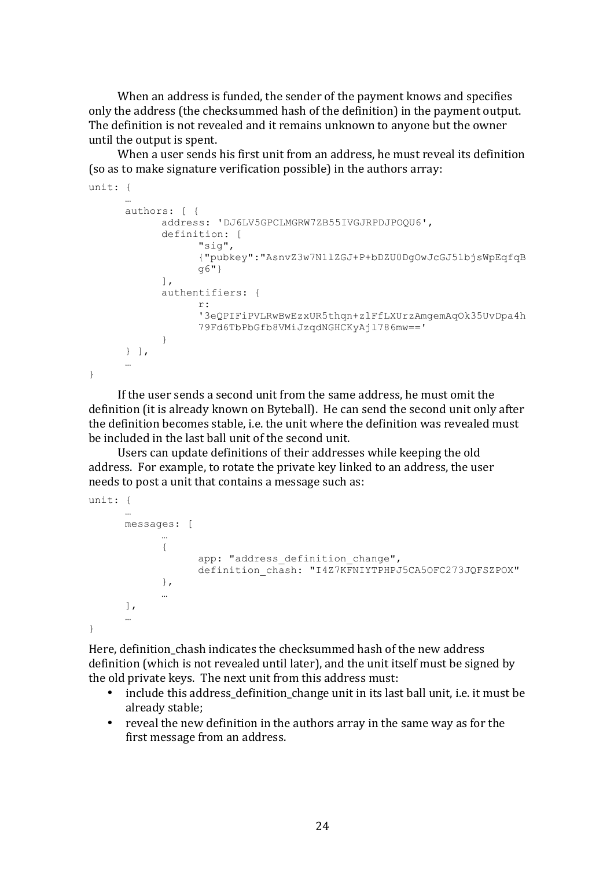When an address is funded, the sender of the payment knows and specifies only the address (the checksummed hash of the definition) in the payment output. The definition is not revealed and it remains unknown to anyone but the owner until the output is spent.

When a user sends his first unit from an address, he must reveal its definition (so as to make signature verification possible) in the authors array:

```
unit: {
      …
      authors: [ {
            address: 'DJ6LV5GPCLMGRW7ZB55IVGJRPDJPOQU6',
            definition: [
                  "sig",
                  {"pubkey":"AsnvZ3w7N1lZGJ+P+bDZU0DgOwJcGJ51bjsWpEqfqB
                  g6"}
            ],
            authentifiers: { 
                  r \cdot'3eQPIFiPVLRwBwEzxUR5thqn+zlFfLXUrzAmgemAqOk35UvDpa4h
                  79Fd6TbPbGfb8VMiJzqdNGHCKyAjl786mw=='
            }
      } ],
      …
}
```
If the user sends a second unit from the same address, he must omit the definition (it is already known on Byteball). He can send the second unit only after the definition becomes stable, i.e. the unit where the definition was revealed must be included in the last hall unit of the second unit.

Users can update definitions of their addresses while keeping the old address. For example, to rotate the private key linked to an address, the user needs to post a unit that contains a message such as:

```
unit: {
      …
      messages: [
            …
            {
                   app: "address definition change",
                  definition chash: "I4Z7KFNIYTPHPJ5CA5OFC273JQFSZPOX"
            },
            …
      ],
      …
}
```
Here, definition chash indicates the checksummed hash of the new address definition (which is not revealed until later), and the unit itself must be signed by the old private keys. The next unit from this address must:

- include this address\_definition\_change unit in its last ball unit, i.e. it must be already stable;
- reveal the new definition in the authors array in the same way as for the first message from an address.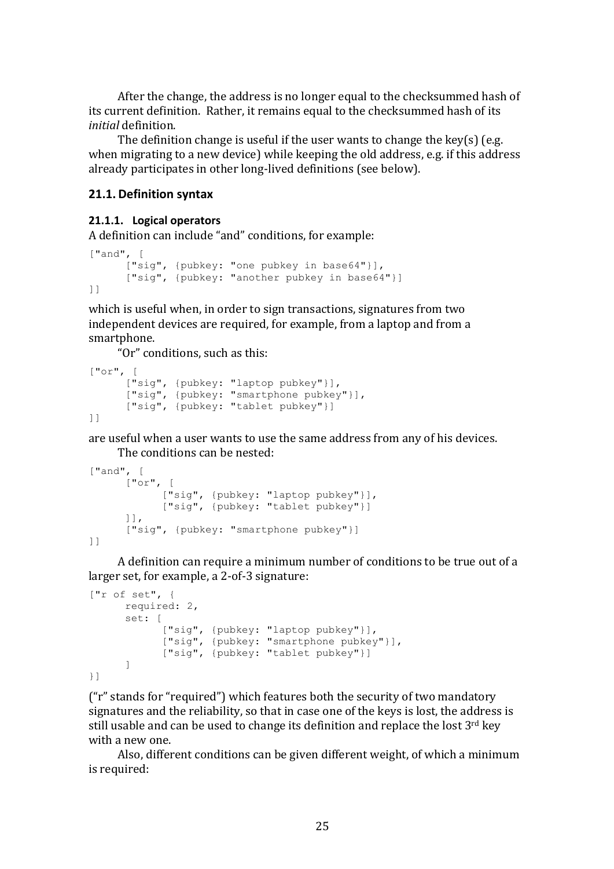After the change, the address is no longer equal to the checksummed hash of its current definition. Rather, it remains equal to the checksummed hash of its *initial* definition.

The definition change is useful if the user wants to change the key(s) (e.g. when migrating to a new device) while keeping the old address, e.g. if this address already participates in other long-lived definitions (see below).

#### **21.1. Definition syntax**

#### **21.1.1. Logical operators**

A definition can include "and" conditions, for example:

```
["and", [
      ["sig", {pubkey: "one pubkey in base64"}],
      ["sig", {pubkey: "another pubkey in base64"}]
]]
```
which is useful when, in order to sign transactions, signatures from two independent devices are required, for example, from a laptop and from a smartphone.

"Or" conditions, such as this:

```
["or", [
      ["sig", {pubkey: "laptop pubkey"}],
      ["sig", {pubkey: "smartphone pubkey"}],
      ["sig", {pubkey: "tablet pubkey"}]
]]
```
are useful when a user wants to use the same address from any of his devices. The conditions can be nested:

```
["and", [
      ["or", [
            ["sig", {pubkey: "laptop pubkey"}],
            ["sig", {pubkey: "tablet pubkey"}]
      ]],
      ["sig", {pubkey: "smartphone pubkey"}]
]]
```
A definition can require a minimum number of conditions to be true out of a larger set, for example, a 2-of-3 signature:

```
["r of set", {
      required: 2,
      set: [
            ["sig", {pubkey: "laptop pubkey"}],
            ["sig", {pubkey: "smartphone pubkey"}],
            ["sig", {pubkey: "tablet pubkey"}]
      ]
}]
```
("r" stands for "required") which features both the security of two mandatory signatures and the reliability, so that in case one of the keys is lost, the address is still usable and can be used to change its definition and replace the lost  $3<sup>rd</sup>$  key with a new one.

Also, different conditions can be given different weight, of which a minimum is required: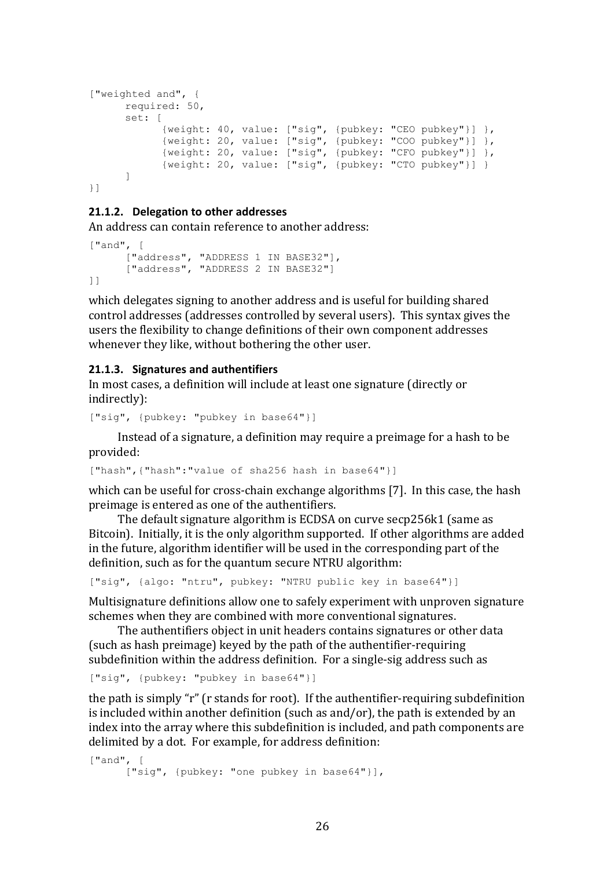```
["weighted and", {
    required: 50,
     set: [
            {weight: 40, value: ["sig", {pubkey: "CEO pubkey"}] },
            {weight: 20, value: ["sig", {pubkey: "COO pubkey"}] },
            {weight: 20, value: ["sig", {pubkey: "CFO pubkey"}] },
            {weight: 20, value: ["sig", {pubkey: "CTO pubkey"}] }
      ]
}]
```
#### **21.1.2.** Delegation to other addresses

An address can contain reference to another address:

```
["and", [
      ["address", "ADDRESS 1 IN BASE32"],
      ["address", "ADDRESS 2 IN BASE32"]
]]
```
which delegates signing to another address and is useful for building shared control addresses (addresses controlled by several users). This syntax gives the users the flexibility to change definitions of their own component addresses whenever they like, without bothering the other user.

#### **21.1.3. Signatures and authentifiers**

In most cases, a definition will include at least one signature (directly or indirectly):

```
["sig", {pubkey: "pubkey in base64"}]
```
Instead of a signature, a definition may require a preimage for a hash to be provided:

["hash",{"hash":"value of sha256 hash in base64"}]

which can be useful for cross-chain exchange algorithms  $[7]$ . In this case, the hash preimage is entered as one of the authentifiers.

The default signature algorithm is ECDSA on curve secp256k1 (same as Bitcoin). Initially, it is the only algorithm supported. If other algorithms are added in the future, algorithm identifier will be used in the corresponding part of the definition, such as for the quantum secure NTRU algorithm:

["sig", {algo: "ntru", pubkey: "NTRU public key in base64"}]

Multisignature definitions allow one to safely experiment with unproven signature schemes when they are combined with more conventional signatures.

The authentifiers object in unit headers contains signatures or other data (such as hash preimage) keyed by the path of the authentifier-requiring subdefinition within the address definition. For a single-sig address such as

["sig", {pubkey: "pubkey in base64"}]

the path is simply "r" (r stands for root). If the authentifier-requiring subdefinition is included within another definition (such as and/or), the path is extended by an index into the array where this subdefinition is included, and path components are delimited by a dot. For example, for address definition:

```
["and", [
     ["sig", {pubkey: "one pubkey in base64"}],
```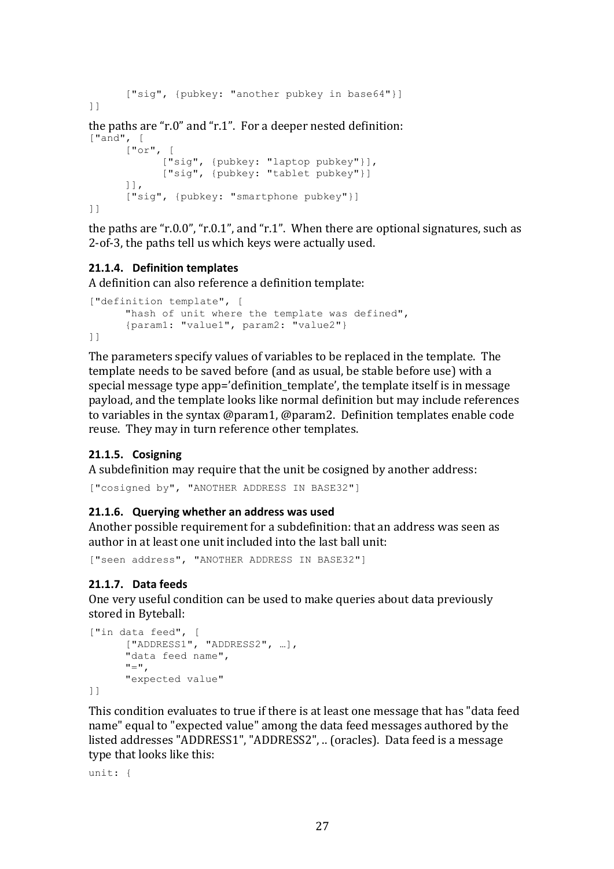```
["sig", {pubkey: "another pubkey in base64"}]
]]
the paths are "r.0" and "r.1". For a deeper nested definition:
\lceil "and", \lceil["or", [
             ["sig", {pubkey: "laptop pubkey"}],
            ["sig", {pubkey: "tablet pubkey"}]
      ]],
      ["sig", {pubkey: "smartphone pubkey"}]
]]
```
the paths are "r.0.0", "r.0.1", and "r.1". When there are optional signatures, such as 2-of-3, the paths tell us which keys were actually used.

#### **21.1.4. Definition templates**

A definition can also reference a definition template:

```
["definition template", [
      "hash of unit where the template was defined", 
      {param1: "value1", param2: "value2"}
]]
```
The parameters specify values of variables to be replaced in the template. The template needs to be saved before (and as usual, be stable before use) with a special message type app='definition template', the template itself is in message payload, and the template looks like normal definition but may include references to variables in the syntax  $\omega$  param1,  $\omega$  param2. Definition templates enable code reuse. They may in turn reference other templates.

#### **21.1.5. Cosigning**

A subdefinition may require that the unit be cosigned by another address:

["cosigned by", "ANOTHER ADDRESS IN BASE32"]

#### **21.1.6. Querying whether an address was used**

Another possible requirement for a subdefinition: that an address was seen as author in at least one unit included into the last ball unit:

["seen address", "ANOTHER ADDRESS IN BASE32"]

#### **21.1.7. Data feeds**

One very useful condition can be used to make queries about data previously stored in Byteball:

```
["in data feed", [
     ["ADDRESS1", "ADDRESS2", …], 
     "data feed name", 
     "=",
     "expected value"
```
]]

This condition evaluates to true if there is at least one message that has "data feed name" equal to "expected value" among the data feed messages authored by the listed addresses "ADDRESS1", "ADDRESS2", .. (oracles). Data feed is a message type that looks like this:

unit: {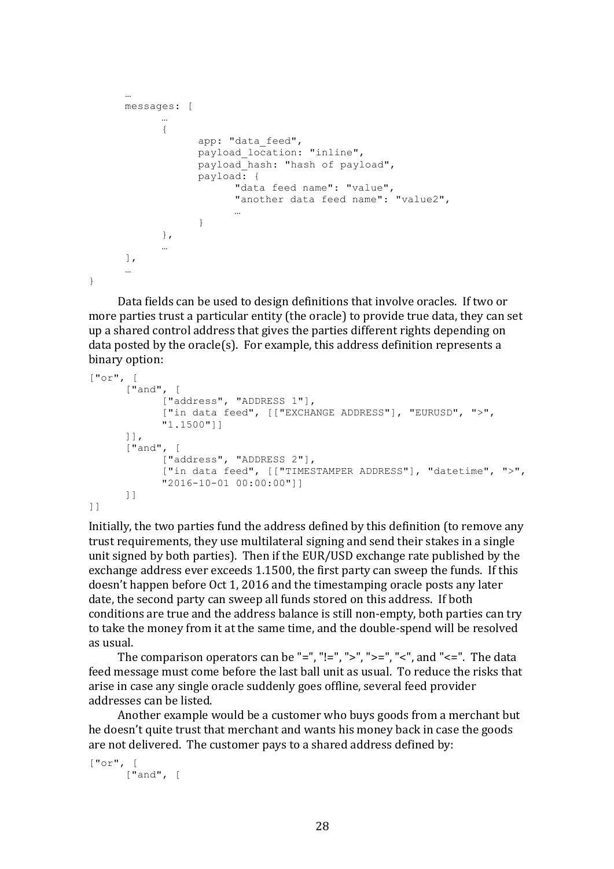```
…
messages: [
      …
      {
            app: "data feed",
            payload location: "inline",
            payload_hash: "hash of payload",
            payload: {
                   "data feed name": "value",
                   "another data feed name": "value2",
                   …
            }
      },
      …
\cdot…
```

```
}
```
Data fields can be used to design definitions that involve oracles. If two or more parties trust a particular entity (the oracle) to provide true data, they can set up a shared control address that gives the parties different rights depending on data posted by the oracle(s). For example, this address definition represents a binary option:

```
["or", [
      ["and", [
            ["address", "ADDRESS 1"],
            ["in data feed", [["EXCHANGE ADDRESS"], "EURUSD", ">", 
            "1.1500"]]
      ]],
      ["and", [
            ["address", "ADDRESS 2"],
            ["in data feed", [["TIMESTAMPER ADDRESS"], "datetime", ">",
            "2016-10-01 00:00:00"]]
      ]]
]]
```
Initially, the two parties fund the address defined by this definition (to remove any trust requirements, they use multilateral signing and send their stakes in a single unit signed by both parties). Then if the EUR/USD exchange rate published by the exchange address ever exceeds 1.1500, the first party can sweep the funds. If this doesn't happen before Oct 1, 2016 and the timestamping oracle posts any later date, the second party can sweep all funds stored on this address. If both conditions are true and the address balance is still non-empty, both parties can try to take the money from it at the same time, and the double-spend will be resolved as usual.

The comparison operators can be "=", "!=", ">", ">=", "<", and "<=". The data feed message must come before the last ball unit as usual. To reduce the risks that arise in case any single oracle suddenly goes offline, several feed provider addresses can be listed.

Another example would be a customer who buys goods from a merchant but he doesn't quite trust that merchant and wants his money back in case the goods are not delivered. The customer pays to a shared address defined by:

```
["or", [
     ["and", [
```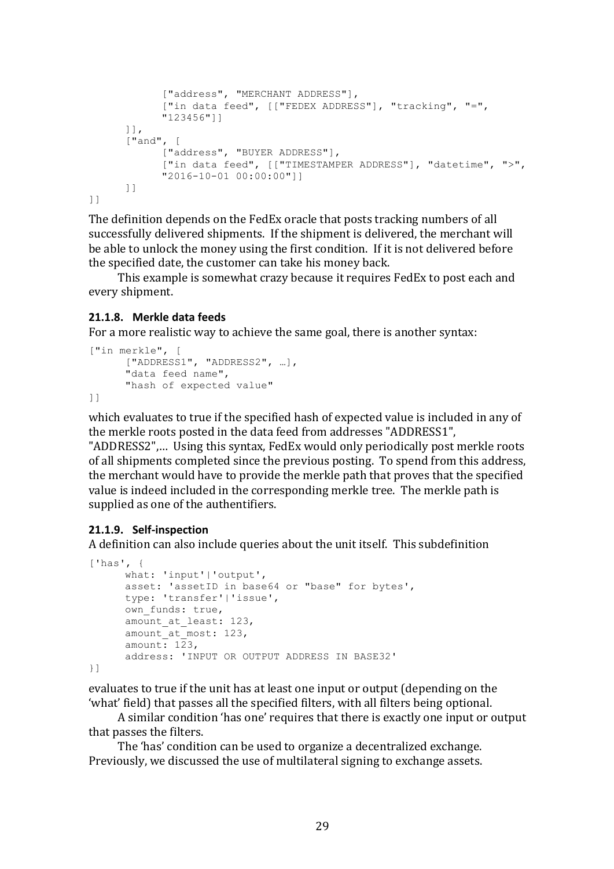```
["address", "MERCHANT ADDRESS"],
            ["in data feed", [["FEDEX ADDRESS"], "tracking", "=",
            "123456"]]
      ]],
      ["and", [
           ["address", "BUYER ADDRESS"],
            ["in data feed", [["TIMESTAMPER ADDRESS"], "datetime", ">", 
            "2016-10-01 00:00:00"]]
      ]]
]]
```
The definition depends on the FedEx oracle that posts tracking numbers of all successfully delivered shipments. If the shipment is delivered, the merchant will be able to unlock the money using the first condition. If it is not delivered before the specified date, the customer can take his money back.

This example is somewhat crazy because it requires FedEx to post each and every shipment.

#### **21.1.8. Merkle data feeds**

For a more realistic way to achieve the same goal, there is another syntax:

```
["in merkle", [
     ["ADDRESS1", "ADDRESS2", …], 
     "data feed name", 
     "hash of expected value"
```
]]

which evaluates to true if the specified hash of expected value is included in any of the merkle roots posted in the data feed from addresses "ADDRESS1",

"ADDRESS2".... Using this syntax, FedEx would only periodically post merkle roots of all shipments completed since the previous posting. To spend from this address, the merchant would have to provide the merkle path that proves that the specified value is indeed included in the corresponding merkle tree. The merkle path is supplied as one of the authentifiers.

#### **21.1.9. Self-inspection**

A definition can also include queries about the unit itself. This subdefinition

```
['has', {
      what: 'input'|'output', 
      asset: 'assetID in base64 or "base" for bytes', 
     type: 'transfer'|'issue', 
     own funds: true,
      amount at least: 123,
      amount at most: 123,
      amount: 123, 
      address: 'INPUT OR OUTPUT ADDRESS IN BASE32'
}]
```
evaluates to true if the unit has at least one input or output (depending on the 'what' field) that passes all the specified filters, with all filters being optional.

A similar condition 'has one' requires that there is exactly one input or output that passes the filters.

The 'has' condition can be used to organize a decentralized exchange. Previously, we discussed the use of multilateral signing to exchange assets.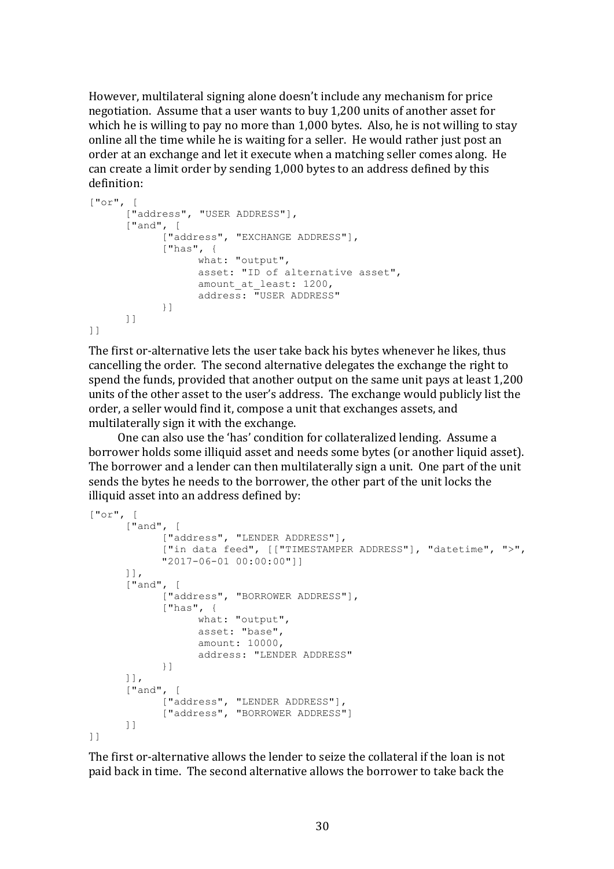However, multilateral signing alone doesn't include any mechanism for price negotiation. Assume that a user wants to buy 1,200 units of another asset for which he is willing to pay no more than  $1,000$  bytes. Also, he is not willing to stay online all the time while he is waiting for a seller. He would rather just post an order at an exchange and let it execute when a matching seller comes along. He can create a limit order by sending 1,000 bytes to an address defined by this definition:

```
["or", [
      ["address", "USER ADDRESS"],
      ["and", [
            ["address", "EXCHANGE ADDRESS"],
            ["has", {
                  what: "output", 
                  asset: "ID of alternative asset", 
                  amount at least: 1200,
                  address: "USER ADDRESS"
            }]
      ]]
]]
```
The first or-alternative lets the user take back his bytes whenever he likes, thus cancelling the order. The second alternative delegates the exchange the right to spend the funds, provided that another output on the same unit pays at least 1,200 units of the other asset to the user's address. The exchange would publicly list the order, a seller would find it, compose a unit that exchanges assets, and multilaterally sign it with the exchange.

One can also use the 'has' condition for collateralized lending. Assume a borrower holds some illiquid asset and needs some bytes (or another liquid asset). The borrower and a lender can then multilaterally sign a unit. One part of the unit sends the bytes he needs to the borrower, the other part of the unit locks the illiquid asset into an address defined by:

```
["or", [
      ["and", [
            ["address", "LENDER ADDRESS"],
            ["in data feed", [["TIMESTAMPER ADDRESS"], "datetime", ">", 
            "2017-06-01 00:00:00"]]
      ]],
      ["and", [
            .<br>["address", "BORROWER ADDRESS"],
            ["has", {
                  what: "output", 
                  asset: "base",
                  amount: 10000, 
                  address: "LENDER ADDRESS"
            }]
      ]],
      ["and", [
            ["address", "LENDER ADDRESS"],
            ["address", "BORROWER ADDRESS"]
      ]]
]]
```
The first or-alternative allows the lender to seize the collateral if the loan is not paid back in time. The second alternative allows the borrower to take back the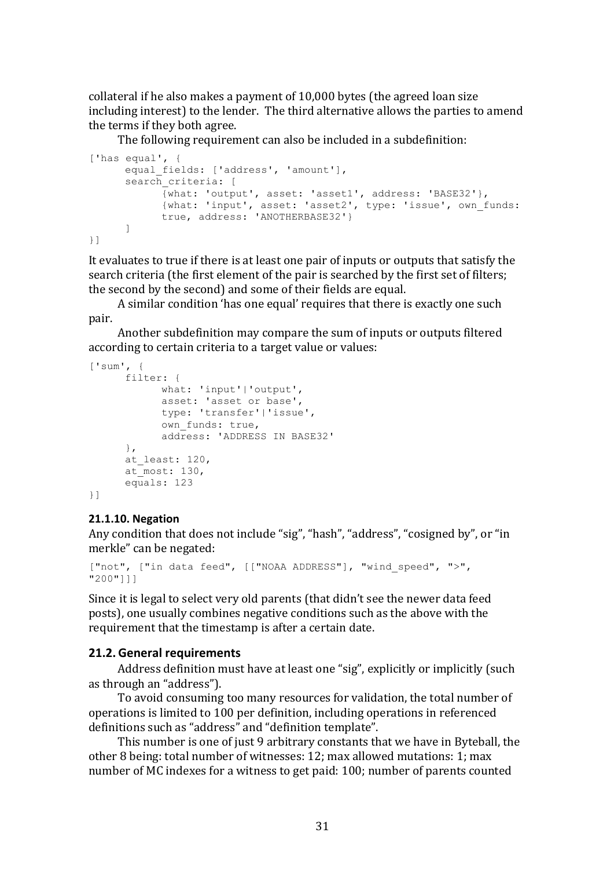collateral if he also makes a payment of  $10,000$  bytes (the agreed loan size including interest) to the lender. The third alternative allows the parties to amend the terms if they both agree.

The following requirement can also be included in a subdefinition:

```
['has equal', {
      equal fields: ['address', 'amount'],
      search criteria: [
           {what: 'output', asset: 'asset1', address: 'BASE32'}, 
            {what: 'input', asset: 'asset2', type: 'issue', own_funds: 
            true, address: 'ANOTHERBASE32'}
      ]
}]
```
It evaluates to true if there is at least one pair of inputs or outputs that satisfy the search criteria (the first element of the pair is searched by the first set of filters; the second by the second) and some of their fields are equal.

A similar condition 'has one equal' requires that there is exactly one such pair.

Another subdefinition may compare the sum of inputs or outputs filtered according to certain criteria to a target value or values:

```
['sum', {
     filter: {
            what: 'input'|'output', 
            asset: 'asset or base', 
            type: 'transfer'|'issue', 
            own funds: true,
            address: 'ADDRESS IN BASE32'
      }, 
      at least: 120,
      at most: 130,
      equals: 123
}]
```
#### **21.1.10. Negation**

Any condition that does not include "sig", "hash", "address", "cosigned by", or "in merkle" can be negated:

```
["not", ["in data feed", [["NOAA ADDRESS"], "wind speed", ">",
"200"]]]
```
Since it is legal to select very old parents (that didn't see the newer data feed posts), one usually combines negative conditions such as the above with the requirement that the timestamp is after a certain date.

#### **21.2. General requirements**

Address definition must have at least one "sig", explicitly or implicitly (such as through an "address").

To avoid consuming too many resources for validation, the total number of operations is limited to 100 per definition, including operations in referenced definitions such as "address" and "definition template".

This number is one of just 9 arbitrary constants that we have in Byteball, the other 8 being: total number of witnesses: 12; max allowed mutations: 1; max number of MC indexes for a witness to get paid: 100; number of parents counted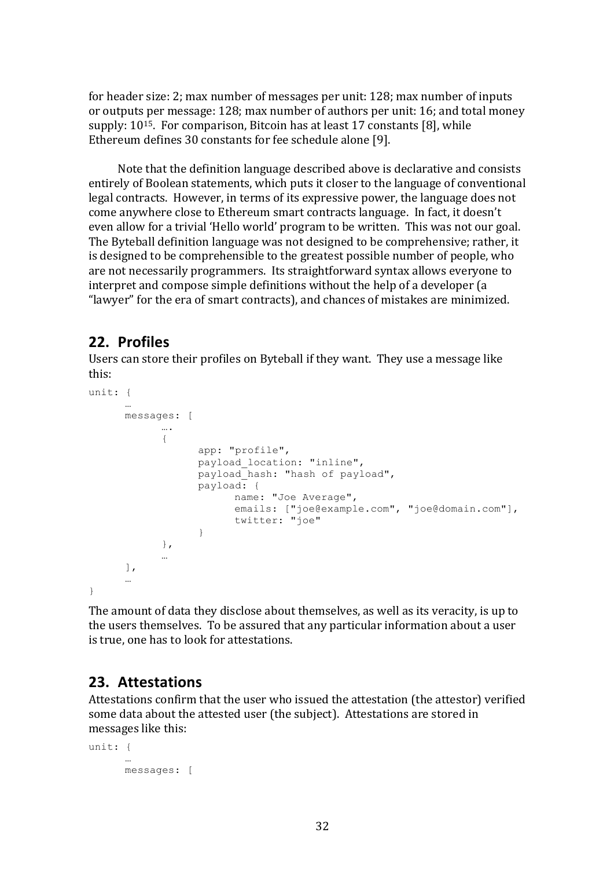for header size: 2; max number of messages per unit: 128; max number of inputs or outputs per message: 128; max number of authors per unit: 16; and total money supply:  $10^{15}$ . For comparison, Bitcoin has at least 17 constants [8], while Ethereum defines 30 constants for fee schedule alone [9].

Note that the definition language described above is declarative and consists entirely of Boolean statements, which puts it closer to the language of conventional legal contracts. However, in terms of its expressive power, the language does not come anywhere close to Ethereum smart contracts language. In fact, it doesn't even allow for a trivial 'Hello world' program to be written. This was not our goal. The Byteball definition language was not designed to be comprehensive; rather, it is designed to be comprehensible to the greatest possible number of people, who are not necessarily programmers. Its straightforward syntax allows everyone to interpret and compose simple definitions without the help of a developer (a "lawyer" for the era of smart contracts), and chances of mistakes are minimized.

## **22. Profiles**

Users can store their profiles on Byteball if they want. They use a message like this:

```
unit: {
```

```
…
     messages: [
            ….
            {
                  app: "profile",
                  payload_location: "inline",
                  payload_hash: "hash of payload",
                  payload: {
                        name: "Joe Average",
                        emails: ["joe@example.com", "joe@domain.com"],
                        twitter: "joe"
                  }
            },
            …
      ],
      …
}
```
The amount of data they disclose about themselves, as well as its veracity, is up to the users themselves. To be assured that any particular information about a user is true, one has to look for attestations.

## **23. Attestations**

Attestations confirm that the user who issued the attestation (the attestor) verified some data about the attested user (the subject). Attestations are stored in messages like this:

```
unit: {
      …
      messages: [
```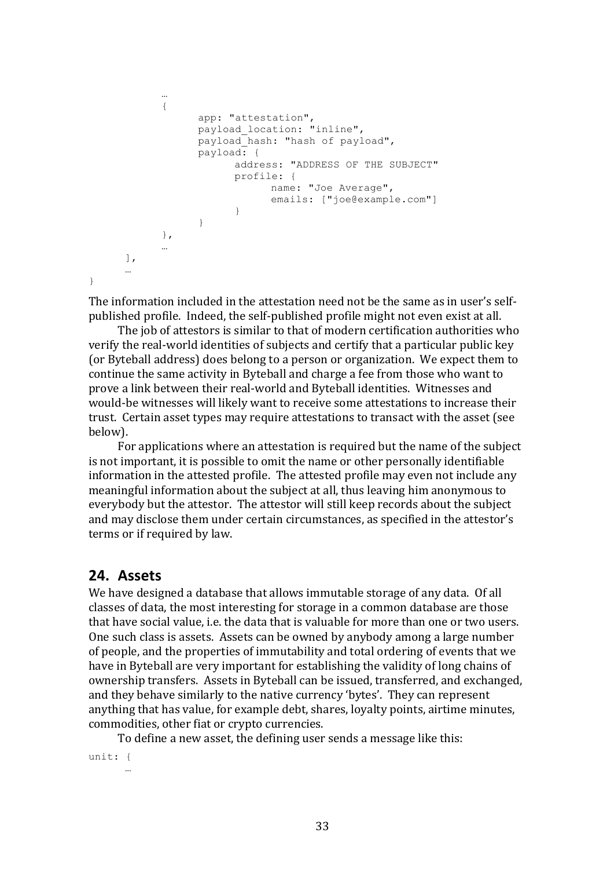```
…
            {
                   app: "attestation",
                   payload_location: "inline",
                   payload_hash: "hash of payload",
                   payload: {
                         address: "ADDRESS OF THE SUBJECT"
                         profile: {
                              name: "Joe Average",
                                emails: ["joe@example.com"]
                         }
                   }
            },
             …
      \frac{1}{2}…
}
```

```
The information included in the attestation need not be the same as in user's self-
published profile. Indeed, the self-published profile might not even exist at all.
```
The job of attestors is similar to that of modern certification authorities who verify the real-world identities of subjects and certify that a particular public key (or Byteball address) does belong to a person or organization. We expect them to continue the same activity in Byteball and charge a fee from those who want to prove a link between their real-world and Byteball identities. Witnesses and would-be witnesses will likely want to receive some attestations to increase their trust. Certain asset types may require attestations to transact with the asset (see below).

For applications where an attestation is required but the name of the subject is not important, it is possible to omit the name or other personally identifiable information in the attested profile. The attested profile may even not include any meaningful information about the subject at all, thus leaving him anonymous to everybody but the attestor. The attestor will still keep records about the subject and may disclose them under certain circumstances, as specified in the attestor's terms or if required by law.

## **24. Assets**

We have designed a database that allows immutable storage of any data. Of all classes of data, the most interesting for storage in a common database are those that have social value, i.e. the data that is valuable for more than one or two users. One such class is assets. Assets can be owned by anybody among a large number of people, and the properties of immutability and total ordering of events that we have in Byteball are very important for establishing the validity of long chains of ownership transfers. Assets in Byteball can be issued, transferred, and exchanged, and they behave similarly to the native currency 'bytes'. They can represent anything that has value, for example debt, shares, loyalty points, airtime minutes, commodities, other fiat or crypto currencies.

To define a new asset, the defining user sends a message like this:

unit: { …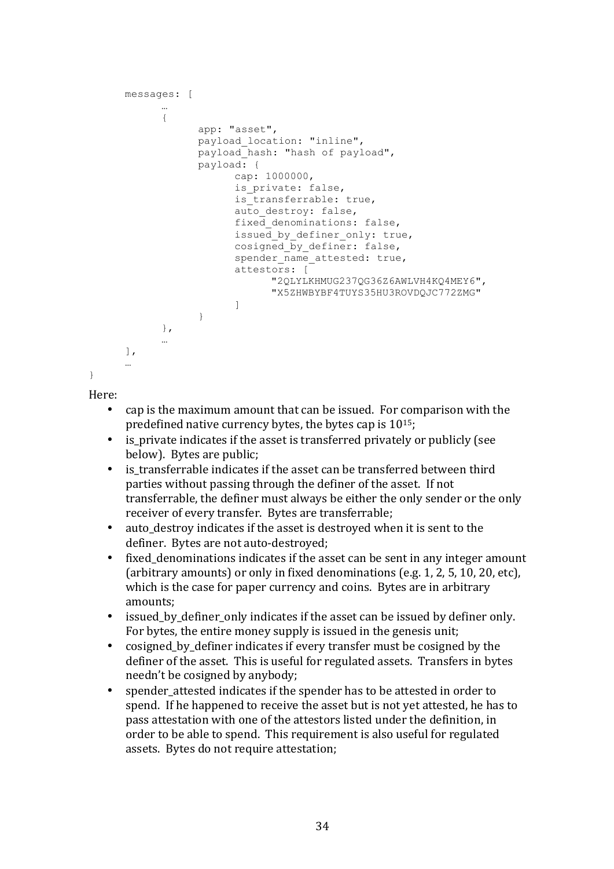```
messages: [
            …
            {
                  app: "asset",
                  payload_location: "inline",
                  payload_hash: "hash of payload",
                  payload: {
                        cap: 1000000,
                        is private: false,
                        is transferrable: true,
                        auto destroy: false,
                        fixed denominations: false,
                        issued by definer only: true,
                        cosigned by definer: false,
                        spender name attested: true,
                        attestors: [
                               "2QLYLKHMUG237QG36Z6AWLVH4KQ4MEY6", 
                               "X5ZHWBYBF4TUYS35HU3ROVDQJC772ZMG"
                        ]
                  }
            },
            …
      ],
      …
}
```
Here:

- cap is the maximum amount that can be issued. For comparison with the predefined native currency bytes, the bytes cap is  $10^{15}$ ;
- is private indicates if the asset is transferred privately or publicly (see below). Bytes are public;
- is transferrable indicates if the asset can be transferred between third parties without passing through the definer of the asset. If not transferrable, the definer must always be either the only sender or the only receiver of every transfer. Bytes are transferrable;
- auto destroy indicates if the asset is destroyed when it is sent to the definer. Bytes are not auto-destroyed;
- fixed denominations indicates if the asset can be sent in any integer amount  $\alpha$  (arbitrary amounts) or only in fixed denominations  $\alpha$  (e.g. 1, 2, 5, 10, 20, etc), which is the case for paper currency and coins. Bytes are in arbitrary amounts;
- issued by definer only indicates if the asset can be issued by definer only. For bytes, the entire money supply is issued in the genesis unit;
- cosigned\_by\_definer indicates if every transfer must be cosigned by the definer of the asset. This is useful for regulated assets. Transfers in bytes needn't be cosigned by anybody;
- spender attested indicates if the spender has to be attested in order to spend. If he happened to receive the asset but is not yet attested, he has to pass attestation with one of the attestors listed under the definition, in order to be able to spend. This requirement is also useful for regulated assets. Bytes do not require attestation;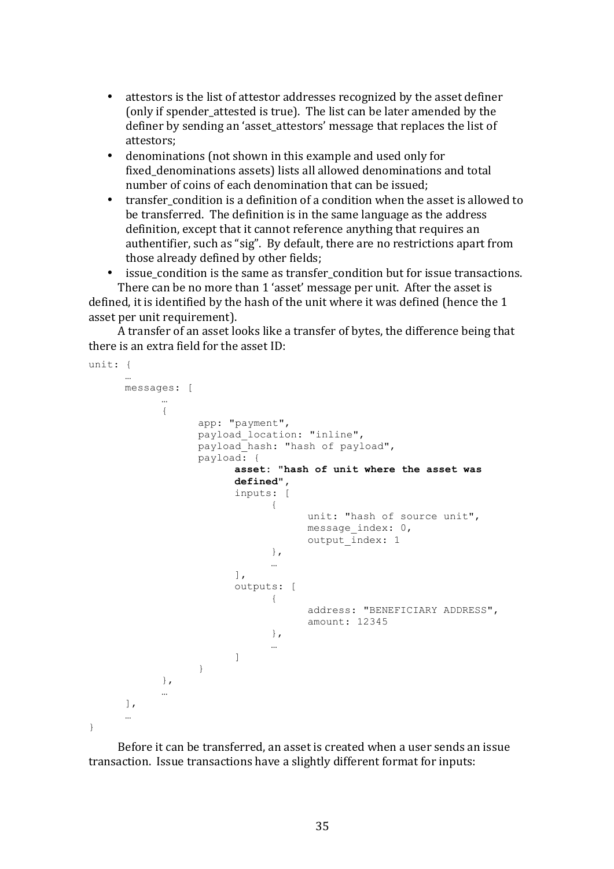- attestors is the list of attestor addresses recognized by the asset definer (only if spender attested is true). The list can be later amended by the definer by sending an 'asset attestors' message that replaces the list of attestors;
- denominations (not shown in this example and used only for fixed denominations assets) lists all allowed denominations and total number of coins of each denomination that can be issued:
- transfer condition is a definition of a condition when the asset is allowed to be transferred. The definition is in the same language as the address definition, except that it cannot reference anything that requires an authentifier, such as "sig". By default, there are no restrictions apart from those already defined by other fields;
- issue\_condition is the same as transfer\_condition but for issue transactions. There can be no more than 1 'asset' message per unit. After the asset is

defined, it is identified by the hash of the unit where it was defined (hence the 1 asset per unit requirement).

A transfer of an asset looks like a transfer of bytes, the difference being that there is an extra field for the asset  $ID:$ 

```
unit: {
      …
      messages: [
             …
             {
                   app: "payment",
                   payload_location: "inline",
                   payload hash: "hash of payload",
                   payload: {
                          asset: "hash of unit where the asset was 
                          defined",
                          inputs: [
                                 {
                                       unit: "hash of source unit",
                                       message_index: 0,
                                       output index: 1
                                 },
                                 …
                          \frac{1}{2},
                          outputs: [
                                 {
                                       address: "BENEFICIARY ADDRESS",
                                       amount: 12345
                                 },
                                 …
                          ]
                    }
             },
             …
      ],
      \mathbb{R}}
```
Before it can be transferred, an asset is created when a user sends an issue transaction. Issue transactions have a slightly different format for inputs: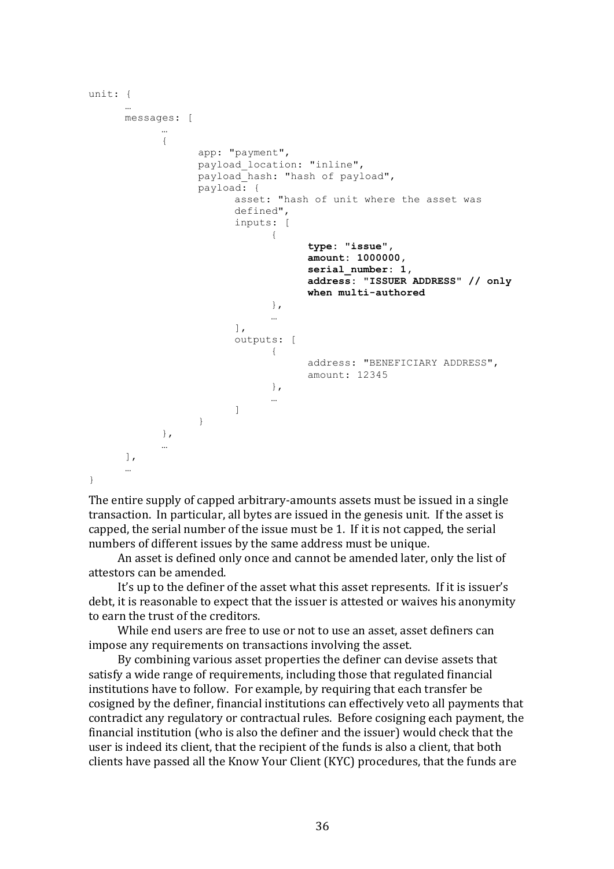```
unit: {
      …
      messages: [
            …
            {
                  app: "payment",
                  payload location: "inline",
                  payload hash: "hash of payload",
                  payload: {
                         asset: "hash of unit where the asset was 
                         defined",
                         inputs: [
                               {
                                      type: "issue",
                                      amount: 1000000,
                                      serial_number: 1,
                                      address: "ISSUER ADDRESS" // only 
                                     when multi-authored
                               },
                               …
                         ],
                         outputs: [
                               {
                                     address: "BENEFICIARY ADDRESS",
                                     amount: 12345
                               },
                               …
                         ]
                   }
            },
            …
      ],
      …
}
```
The entire supply of capped arbitrary-amounts assets must be issued in a single transaction. In particular, all bytes are issued in the genesis unit. If the asset is capped, the serial number of the issue must be 1. If it is not capped, the serial numbers of different issues by the same address must be unique.

An asset is defined only once and cannot be amended later, only the list of attestors can be amended.

It's up to the definer of the asset what this asset represents. If it is issuer's debt, it is reasonable to expect that the issuer is attested or waives his anonymity to earn the trust of the creditors.

While end users are free to use or not to use an asset, asset definers can impose any requirements on transactions involving the asset.

By combining various asset properties the definer can devise assets that satisfy a wide range of requirements, including those that regulated financial institutions have to follow. For example, by requiring that each transfer be cosigned by the definer, financial institutions can effectively veto all payments that contradict any regulatory or contractual rules. Before cosigning each payment, the financial institution (who is also the definer and the issuer) would check that the user is indeed its client, that the recipient of the funds is also a client, that both clients have passed all the Know Your Client (KYC) procedures, that the funds are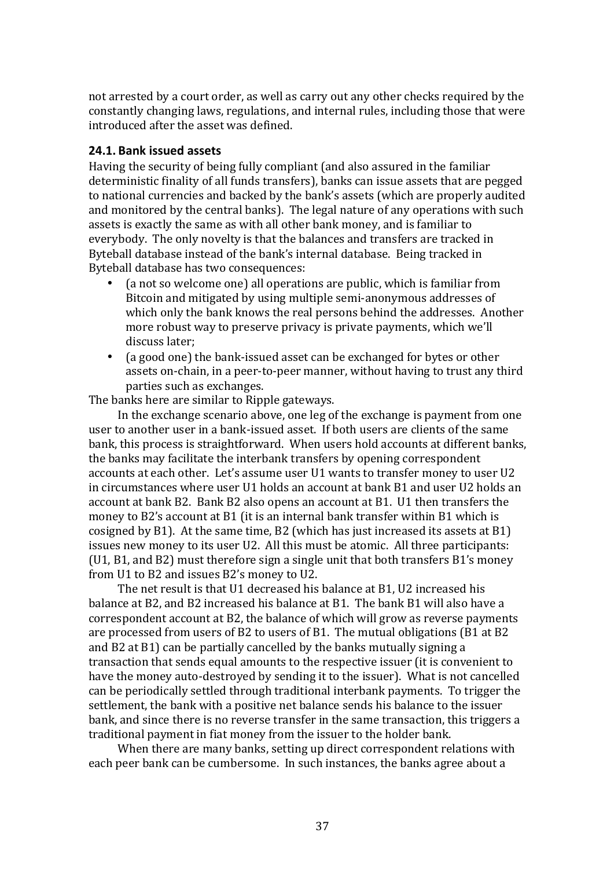not arrested by a court order, as well as carry out any other checks required by the constantly changing laws, regulations, and internal rules, including those that were introduced after the asset was defined.

#### **24.1. Bank issued assets**

Having the security of being fully compliant (and also assured in the familiar deterministic finality of all funds transfers), banks can issue assets that are pegged to national currencies and backed by the bank's assets (which are properly audited and monitored by the central banks). The legal nature of any operations with such assets is exactly the same as with all other bank money, and is familiar to everybody. The only novelty is that the balances and transfers are tracked in Byteball database instead of the bank's internal database. Being tracked in Byteball database has two consequences:

- (a not so welcome one) all operations are public, which is familiar from Bitcoin and mitigated by using multiple semi-anonymous addresses of which only the bank knows the real persons behind the addresses. Another more robust way to preserve privacy is private payments, which we'll discuss later:
- (a good one) the bank-issued asset can be exchanged for bytes or other assets on-chain, in a peer-to-peer manner, without having to trust any third parties such as exchanges.

The banks here are similar to Ripple gateways.

In the exchange scenario above, one leg of the exchange is payment from one user to another user in a bank-issued asset. If both users are clients of the same bank, this process is straightforward. When users hold accounts at different banks, the banks may facilitate the interbank transfers by opening correspondent accounts at each other. Let's assume user U1 wants to transfer money to user U2 in circumstances where user U1 holds an account at bank B1 and user U2 holds an account at bank B2. Bank B2 also opens an account at B1. U1 then transfers the money to B2's account at B1 (it is an internal bank transfer within B1 which is cosigned by  $B1$ ). At the same time,  $B2$  (which has just increased its assets at  $B1$ ) issues new money to its user U2. All this must be atomic. All three participants:  $(U1, B1, and B2)$  must therefore sign a single unit that both transfers B1's money from U1 to B2 and issues B2's money to U2.

The net result is that U1 decreased his balance at B1, U2 increased his balance at B2, and B2 increased his balance at B1. The bank B1 will also have a correspondent account at B2, the balance of which will grow as reverse payments are processed from users of B2 to users of B1. The mutual obligations  $(B1 \text{ at } B2)$ and  $B2$  at  $B1$ ) can be partially cancelled by the banks mutually signing a transaction that sends equal amounts to the respective issuer (it is convenient to have the money auto-destroyed by sending it to the issuer). What is not cancelled can be periodically settled through traditional interbank payments. To trigger the settlement, the bank with a positive net balance sends his balance to the issuer bank, and since there is no reverse transfer in the same transaction, this triggers a traditional payment in fiat money from the issuer to the holder bank.

When there are many banks, setting up direct correspondent relations with each peer bank can be cumbersome. In such instances, the banks agree about a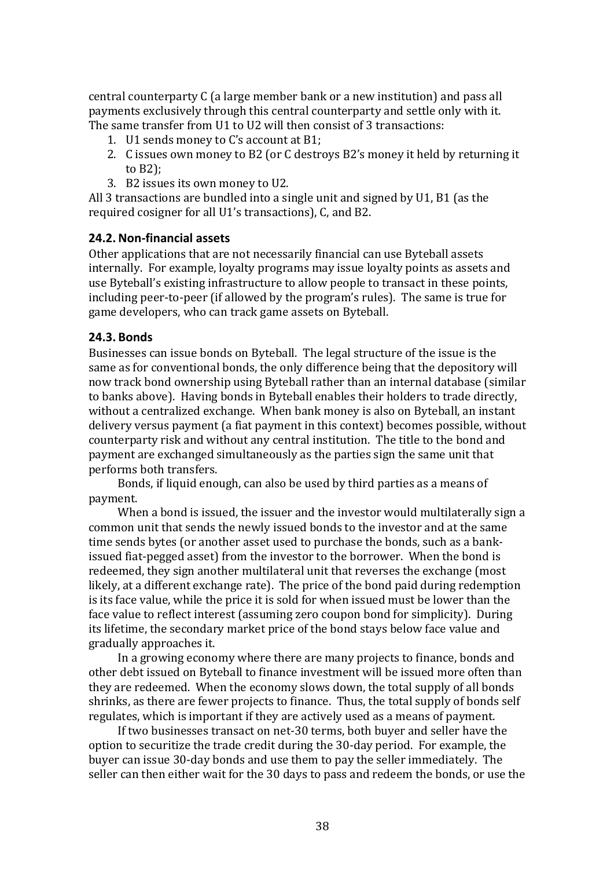central counterparty C (a large member bank or a new institution) and pass all payments exclusively through this central counterparty and settle only with it. The same transfer from U1 to U2 will then consist of 3 transactions:

- 1. U1 sends money to C's account at B1;
- 2. C issues own money to B2 (or C destroys B2's money it held by returning it to  $B2$ ):
- 3. B2 issues its own money to U2.

All 3 transactions are bundled into a single unit and signed by U1, B1 (as the required cosigner for all U1's transactions), C, and B2.

#### **24.2.Non-financial assets**

Other applications that are not necessarily financial can use Byteball assets internally. For example, loyalty programs may issue loyalty points as assets and use Byteball's existing infrastructure to allow people to transact in these points, including peer-to-peer (if allowed by the program's rules). The same is true for game developers, who can track game assets on Byteball.

#### **24.3. Bonds**

Businesses can issue bonds on Byteball. The legal structure of the issue is the same as for conventional bonds, the only difference being that the depository will now track bond ownership using Byteball rather than an internal database (similar to banks above). Having bonds in Byteball enables their holders to trade directly, without a centralized exchange. When bank money is also on Byteball, an instant delivery versus payment (a fiat payment in this context) becomes possible, without counterparty risk and without any central institution. The title to the bond and payment are exchanged simultaneously as the parties sign the same unit that performs both transfers.

Bonds, if liquid enough, can also be used by third parties as a means of payment.

When a bond is issued, the issuer and the investor would multilaterally sign a common unit that sends the newly issued bonds to the investor and at the same time sends bytes (or another asset used to purchase the bonds, such as a bankissued fiat-pegged asset) from the investor to the borrower. When the bond is redeemed, they sign another multilateral unit that reverses the exchange (most likely, at a different exchange rate). The price of the bond paid during redemption is its face value, while the price it is sold for when issued must be lower than the face value to reflect interest (assuming zero coupon bond for simplicity). During its lifetime, the secondary market price of the bond stays below face value and gradually approaches it.

In a growing economy where there are many projects to finance, bonds and other debt issued on Byteball to finance investment will be issued more often than they are redeemed. When the economy slows down, the total supply of all bonds shrinks, as there are fewer projects to finance. Thus, the total supply of bonds self regulates, which is important if they are actively used as a means of payment.

If two businesses transact on net-30 terms, both buyer and seller have the option to securitize the trade credit during the 30-day period. For example, the buyer can issue 30-day bonds and use them to pay the seller immediately. The seller can then either wait for the 30 days to pass and redeem the bonds, or use the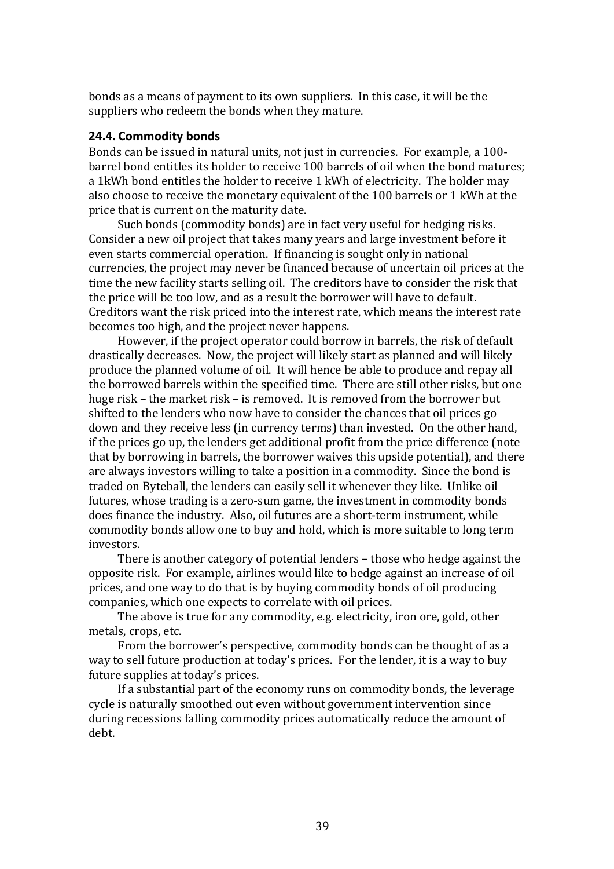bonds as a means of payment to its own suppliers. In this case, it will be the suppliers who redeem the bonds when they mature.

#### **24.4. Commodity bonds**

Bonds can be issued in natural units, not just in currencies. For example, a 100barrel bond entitles its holder to receive 100 barrels of oil when the bond matures; a 1kWh bond entitles the holder to receive 1 kWh of electricity. The holder may also choose to receive the monetary equivalent of the 100 barrels or 1 kWh at the price that is current on the maturity date.

Such bonds (commodity bonds) are in fact very useful for hedging risks. Consider a new oil project that takes many years and large investment before it even starts commercial operation. If financing is sought only in national currencies, the project may never be financed because of uncertain oil prices at the time the new facility starts selling oil. The creditors have to consider the risk that the price will be too low, and as a result the borrower will have to default. Creditors want the risk priced into the interest rate, which means the interest rate becomes too high, and the project never happens.

However, if the project operator could borrow in barrels, the risk of default drastically decreases. Now, the project will likely start as planned and will likely produce the planned volume of oil. It will hence be able to produce and repay all the borrowed barrels within the specified time. There are still other risks, but one huge risk – the market risk – is removed. It is removed from the borrower but shifted to the lenders who now have to consider the chances that oil prices go down and they receive less (in currency terms) than invested. On the other hand, if the prices go up, the lenders get additional profit from the price difference (note that by borrowing in barrels, the borrower waives this upside potential), and there are always investors willing to take a position in a commodity. Since the bond is traded on Byteball, the lenders can easily sell it whenever they like. Unlike oil futures, whose trading is a zero-sum game, the investment in commodity bonds does finance the industry. Also, oil futures are a short-term instrument, while commodity bonds allow one to buy and hold, which is more suitable to long term investors.

There is another category of potential lenders – those who hedge against the opposite risk. For example, airlines would like to hedge against an increase of oil prices, and one way to do that is by buying commodity bonds of oil producing companies, which one expects to correlate with oil prices.

The above is true for any commodity, e.g. electricity, iron ore, gold, other metals, crops, etc.

From the borrower's perspective, commodity bonds can be thought of as a way to sell future production at today's prices. For the lender, it is a way to buy future supplies at today's prices.

If a substantial part of the economy runs on commodity bonds, the leverage cycle is naturally smoothed out even without government intervention since during recessions falling commodity prices automatically reduce the amount of debt.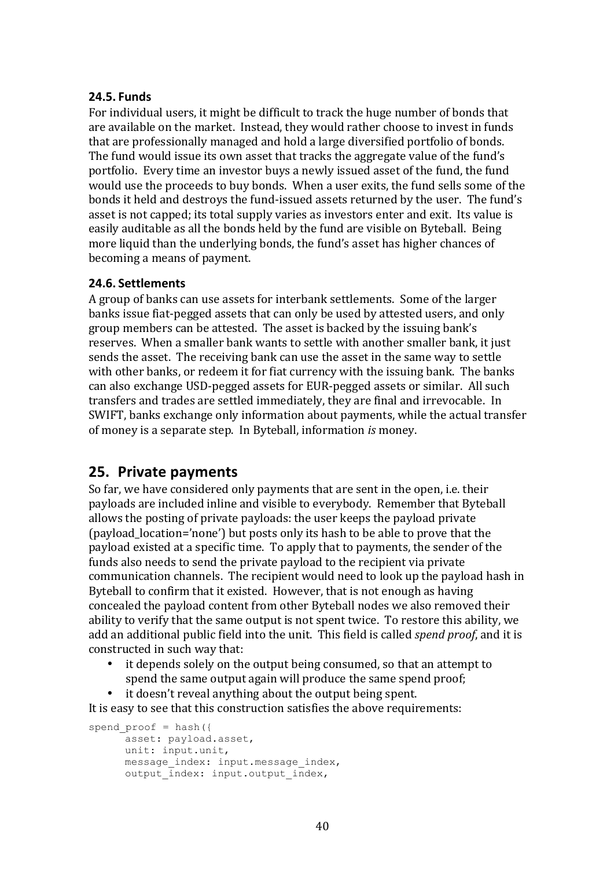#### **24.5. Funds**

For individual users, it might be difficult to track the huge number of bonds that are available on the market. Instead, they would rather choose to invest in funds that are professionally managed and hold a large diversified portfolio of bonds. The fund would issue its own asset that tracks the aggregate value of the fund's portfolio. Every time an investor buys a newly issued asset of the fund, the fund would use the proceeds to buy bonds. When a user exits, the fund sells some of the bonds it held and destroys the fund-issued assets returned by the user. The fund's asset is not capped; its total supply varies as investors enter and exit. Its value is easily auditable as all the bonds held by the fund are visible on Byteball. Being more liquid than the underlying bonds, the fund's asset has higher chances of becoming a means of payment.

#### **24.6. Settlements**

A group of banks can use assets for interbank settlements. Some of the larger banks issue fiat-pegged assets that can only be used by attested users, and only group members can be attested. The asset is backed by the issuing bank's reserves. When a smaller bank wants to settle with another smaller bank, it just sends the asset. The receiving bank can use the asset in the same way to settle with other banks, or redeem it for fiat currency with the issuing bank. The banks can also exchange USD-pegged assets for EUR-pegged assets or similar. All such transfers and trades are settled immediately, they are final and irrevocable. In SWIFT, banks exchange only information about payments, while the actual transfer of money is a separate step. In Byteball, information *is* money.

## **25. Private payments**

So far, we have considered only payments that are sent in the open, i.e. their payloads are included inline and visible to everybody. Remember that Byteball allows the posting of private payloads: the user keeps the payload private (payload location='none') but posts only its hash to be able to prove that the payload existed at a specific time. To apply that to payments, the sender of the funds also needs to send the private payload to the recipient via private communication channels. The recipient would need to look up the payload hash in Byteball to confirm that it existed. However, that is not enough as having concealed the payload content from other Byteball nodes we also removed their ability to verify that the same output is not spent twice. To restore this ability, we add an additional public field into the unit. This field is called *spend proof*, and it is constructed in such way that:

- it depends solely on the output being consumed, so that an attempt to spend the same output again will produce the same spend proof;
- it doesn't reveal anything about the output being spent.

It is easy to see that this construction satisfies the above requirements:

```
spend proof = hash({}asset: payload.asset,
      unit: input.unit,
      message index: input.message index,
      output \overline{\text{index}}: input.output index,
```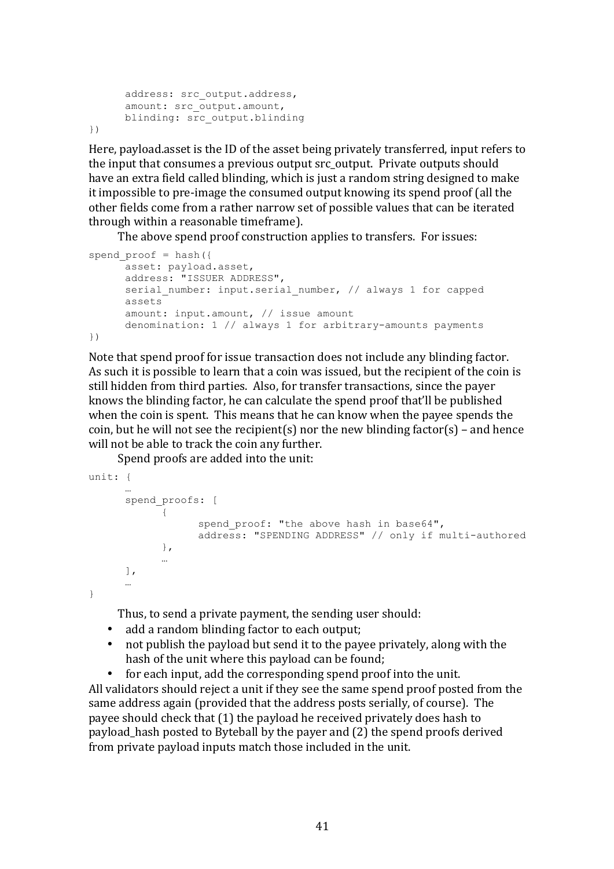```
address: src_output.address,
      amount: src_output.amount,
     blinding: src_output.blinding
})
```
Here, payload.asset is the ID of the asset being privately transferred, input refers to the input that consumes a previous output src\_output. Private outputs should have an extra field called blinding, which is just a random string designed to make it impossible to pre-image the consumed output knowing its spend proof (all the other fields come from a rather narrow set of possible values that can be iterated through within a reasonable timeframe).

The above spend proof construction applies to transfers. For issues:

```
spend proof = hash({}asset: payload.asset,
      address: "ISSUER ADDRESS",
      serial number: input.serial number, // always 1 for capped
      assets
      amount: input.amount, // issue amount
      denomination: 1 // always 1 for arbitrary-amounts payments
})
```
Note that spend proof for issue transaction does not include any blinding factor. As such it is possible to learn that a coin was issued, but the recipient of the coin is still hidden from third parties. Also, for transfer transactions, since the payer knows the blinding factor, he can calculate the spend proof that'll be published when the coin is spent. This means that he can know when the payee spends the coin, but he will not see the recipient(s) nor the new blinding factor(s) – and hence will not be able to track the coin any further.

Spend proofs are added into the unit:

```
unit: {
      …
      spend_proofs: [
            {
                  spend proof: "the above hash in base64",
                  address: "SPENDING ADDRESS" // only if multi-authored
            },
            …
      ],
      …
}
```
Thus, to send a private payment, the sending user should:

- add a random blinding factor to each output;
- not publish the payload but send it to the payee privately, along with the hash of the unit where this payload can be found;

• for each input, add the corresponding spend proof into the unit. All validators should reject a unit if they see the same spend proof posted from the same address again (provided that the address posts serially, of course). The payee should check that (1) the payload he received privately does hash to payload hash posted to Byteball by the payer and (2) the spend proofs derived from private payload inputs match those included in the unit.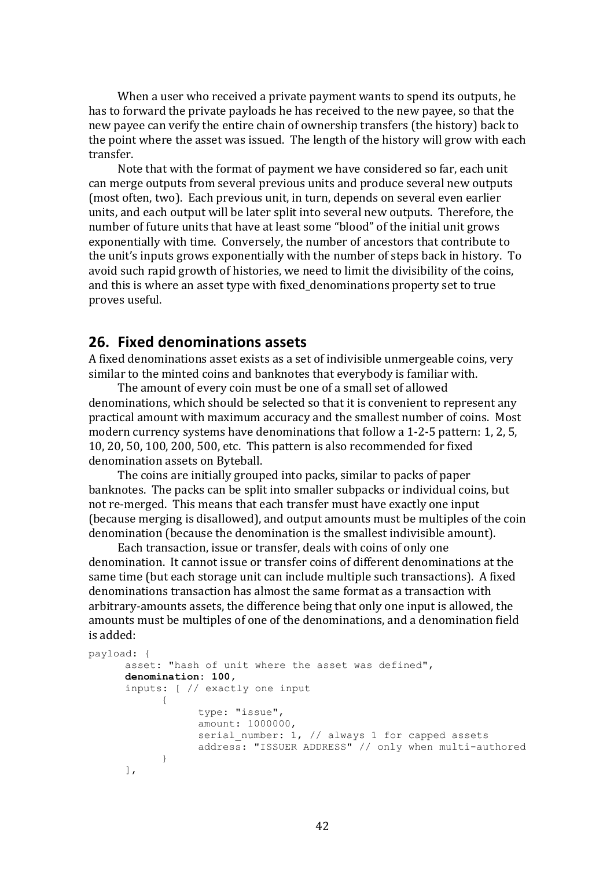When a user who received a private payment wants to spend its outputs, he has to forward the private payloads he has received to the new payee, so that the new payee can verify the entire chain of ownership transfers (the history) back to the point where the asset was issued. The length of the history will grow with each transfer.

Note that with the format of payment we have considered so far, each unit can merge outputs from several previous units and produce several new outputs (most often, two). Each previous unit, in turn, depends on several even earlier units, and each output will be later split into several new outputs. Therefore, the number of future units that have at least some "blood" of the initial unit grows exponentially with time. Conversely, the number of ancestors that contribute to the unit's inputs grows exponentially with the number of steps back in history. To avoid such rapid growth of histories, we need to limit the divisibility of the coins, and this is where an asset type with fixed\_denominations property set to true proves useful.

### **26. Fixed denominations assets**

A fixed denominations asset exists as a set of indivisible unmergeable coins, very similar to the minted coins and banknotes that everybody is familiar with.

The amount of every coin must be one of a small set of allowed denominations, which should be selected so that it is convenient to represent any practical amount with maximum accuracy and the smallest number of coins. Most modern currency systems have denominations that follow a  $1-2-5$  pattern: 1, 2, 5, 10, 20, 50, 100, 200, 500, etc. This pattern is also recommended for fixed denomination assets on Byteball.

The coins are initially grouped into packs, similar to packs of paper banknotes. The packs can be split into smaller subpacks or individual coins, but not re-merged. This means that each transfer must have exactly one input (because merging is disallowed), and output amounts must be multiples of the coin denomination (because the denomination is the smallest indivisible amount).

Each transaction, issue or transfer, deals with coins of only one denomination. It cannot issue or transfer coins of different denominations at the same time (but each storage unit can include multiple such transactions). A fixed denominations transaction has almost the same format as a transaction with arbitrary-amounts assets, the difference being that only one input is allowed, the amounts must be multiples of one of the denominations, and a denomination field is added:

```
payload: {
      asset: "hash of unit where the asset was defined",
      denomination: 100,
      inputs: [ // exactly one input
            {
                  type: "issue",
                  amount: 1000000,
                  serial number: 1, // always 1 for capped assets
                  address: "ISSUER ADDRESS" // only when multi-authored
            }
      ],
```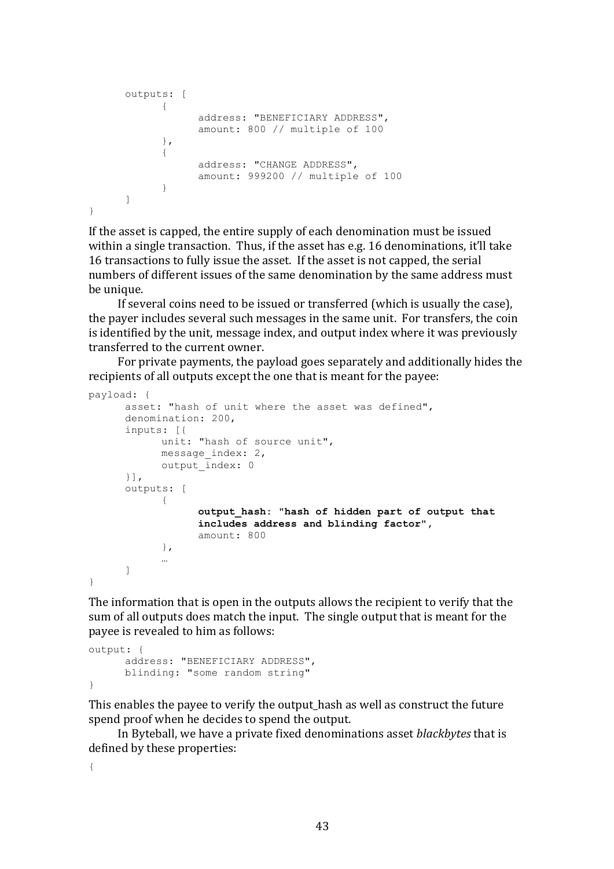```
outputs: [
            {
                  address: "BENEFICIARY ADDRESS",
                  amount: 800 // multiple of 100
            },
            {
                  address: "CHANGE ADDRESS",
                  amount: 999200 // multiple of 100
            }
      ]
}
```
If the asset is capped, the entire supply of each denomination must be issued within a single transaction. Thus, if the asset has e.g. 16 denominations, it'll take 16 transactions to fully issue the asset. If the asset is not capped, the serial numbers of different issues of the same denomination by the same address must be unique.

If several coins need to be issued or transferred (which is usually the case), the payer includes several such messages in the same unit. For transfers, the coin is identified by the unit, message index, and output index where it was previously transferred to the current owner.

For private payments, the payload goes separately and additionally hides the recipients of all outputs except the one that is meant for the payee:

```
payload: {
      asset: "hash of unit where the asset was defined",
      denomination: 200,
      inputs: [{
            unit: "hash of source unit",
            message index: 2,
            output_index: 0
      }],
      outputs: [
            {
                  output_hash: "hash of hidden part of output that 
                  includes address and blinding factor",
                  amount: 800
            },
            …
      ]
}
```
The information that is open in the outputs allows the recipient to verify that the sum of all outputs does match the input. The single output that is meant for the payee is revealed to him as follows:

```
output: {
      address: "BENEFICIARY ADDRESS",
      blinding: "some random string"
}
```
This enables the payee to verify the output\_hash as well as construct the future spend proof when he decides to spend the output.

In Byteball, we have a private fixed denominations asset *blackbytes* that is defined by these properties:

{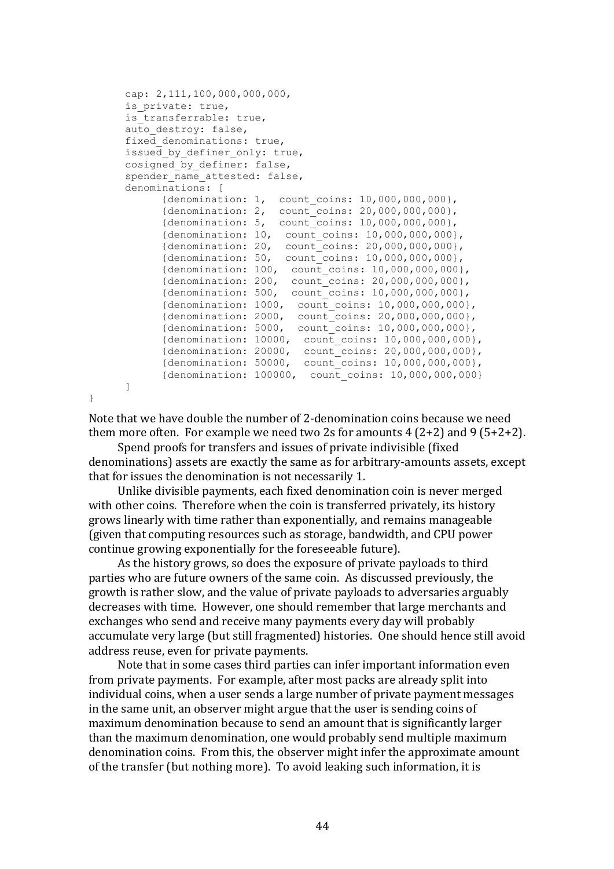```
cap: 2,111,100,000,000,000,
is private: true,
is transferrable: true,
auto destroy: false,
fixed denominations: true,
issued by definer only: true,
cosigned by definer: false,
spender name attested: false,
denominations: [
     {denomination: 1, count coins: 10,000,000,000},
     {denomination: 2, count_coins: 20,000,000,000},
      {denomination: 5, count_coins: 10,000,000,000},
      {denomination: 10, count_coins: 10,000,000,000},
     {denomination: 20, count coins: 20,000,000,000},
      {denomination: 50, count_coins: 10,000,000,000},
      {denomination: 100, count_coins: 10,000,000,000},
      {denomination: 200, count_coins: 20,000,000,000},
      {denomination: 500, count_coins: 10,000,000,000},
      {denomination: 1000, count_coins: 10,000,000,000},
      {denomination: 2000, count_coins: 20,000,000,000},
      {denomination: 5000, count_coins: 10,000,000,000},
      {denomination: 10000, count_coins: 10,000,000,000},
      {denomination: 20000, count_coins: 20,000,000,000},
      {denomination: 50000, count_coins: 10,000,000,000},
      {denomination: 100000, count_coins: 10,000,000,000}
]
```
}

Note that we have double the number of 2-denomination coins because we need them more often. For example we need two 2s for amounts  $4(2+2)$  and  $9(5+2+2)$ .

Spend proofs for transfers and issues of private indivisible (fixed denominations) assets are exactly the same as for arbitrary-amounts assets, except that for issues the denomination is not necessarily 1.

Unlike divisible payments, each fixed denomination coin is never merged with other coins. Therefore when the coin is transferred privately, its history grows linearly with time rather than exponentially, and remains manageable (given that computing resources such as storage, bandwidth, and CPU power continue growing exponentially for the foreseeable future).

As the history grows, so does the exposure of private payloads to third parties who are future owners of the same coin. As discussed previously, the growth is rather slow, and the value of private payloads to adversaries arguably decreases with time. However, one should remember that large merchants and exchanges who send and receive many payments every day will probably accumulate very large (but still fragmented) histories. One should hence still avoid address reuse, even for private payments.

Note that in some cases third parties can infer important information even from private payments. For example, after most packs are already split into individual coins, when a user sends a large number of private payment messages in the same unit, an observer might argue that the user is sending coins of maximum denomination because to send an amount that is significantly larger than the maximum denomination, one would probably send multiple maximum denomination coins. From this, the observer might infer the approximate amount of the transfer (but nothing more). To avoid leaking such information, it is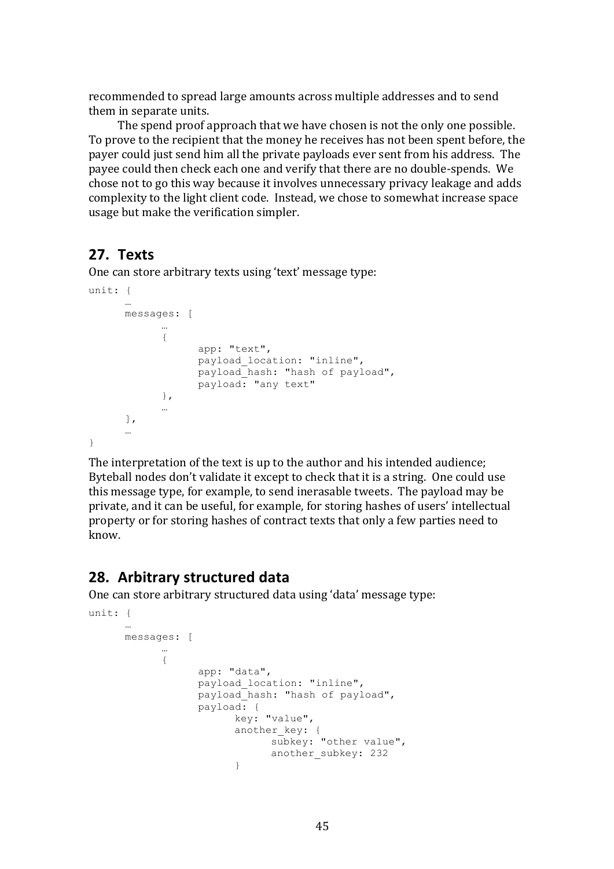recommended to spread large amounts across multiple addresses and to send them in separate units.

The spend proof approach that we have chosen is not the only one possible. To prove to the recipient that the money he receives has not been spent before, the payer could just send him all the private payloads ever sent from his address. The payee could then check each one and verify that there are no double-spends. We chose not to go this way because it involves unnecessary privacy leakage and adds complexity to the light client code. Instead, we chose to somewhat increase space usage but make the verification simpler.

## **27. Texts**

One can store arbitrary texts using 'text' message type:

```
unit: {
      …
      messages: [
             …
            {
                  app: "text",
                  payload location: "inline",
                  payload_hash: "hash of payload",
                  payload: "any text"
            },
            …
      \cdot…
}
```
The interpretation of the text is up to the author and his intended audience; Byteball nodes don't validate it except to check that it is a string. One could use this message type, for example, to send inerasable tweets. The payload may be private, and it can be useful, for example, for storing hashes of users' intellectual property or for storing hashes of contract texts that only a few parties need to know.

## **28. Arbitrary structured data**

One can store arbitrary structured data using 'data' message type:

```
unit: {
      …
     messages: [
            …
            {
                  app: "data",
                  payload location: "inline",
                  payload_hash: "hash of payload",
                  payload: {
                        key: "value",
                        another key: {
                              subkey: "other value",
                              another subkey: 232
                        }
```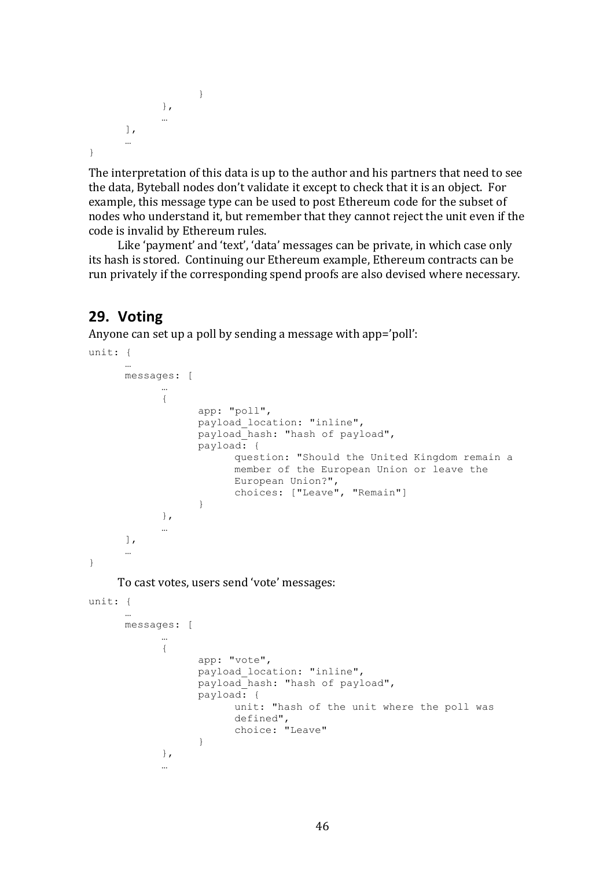```
}
                 },
                …
        ],
        …
}
```
The interpretation of this data is up to the author and his partners that need to see the data, Byteball nodes don't validate it except to check that it is an object. For example, this message type can be used to post Ethereum code for the subset of nodes who understand it, but remember that they cannot reject the unit even if the code is invalid by Ethereum rules.

Like 'payment' and 'text', 'data' messages can be private, in which case only its hash is stored. Continuing our Ethereum example, Ethereum contracts can be run privately if the corresponding spend proofs are also devised where necessary.

## **29. Voting**

Anyone can set up a poll by sending a message with app='poll':

```
unit: {
      …
      messages: [
            …
            {
                   app: "poll",
                  payload location: "inline",
                  payload_hash: "hash of payload",
                  payload: {
                         question: "Should the United Kingdom remain a 
                         member of the European Union or leave the 
                         European Union?",
                         choices: ["Leave", "Remain"]
                   }
            },
            …
      ],
      …
}
    To cast votes, users send 'vote' messages:
unit: {
      …
      messages: [
            …
            {
                   app: "vote",
                   payload_location: "inline",
                  payload hash: "hash of payload",
                  payload: {
                         unit: "hash of the unit where the poll was 
                         defined",
                         choice: "Leave"
                   }
            },
            …
```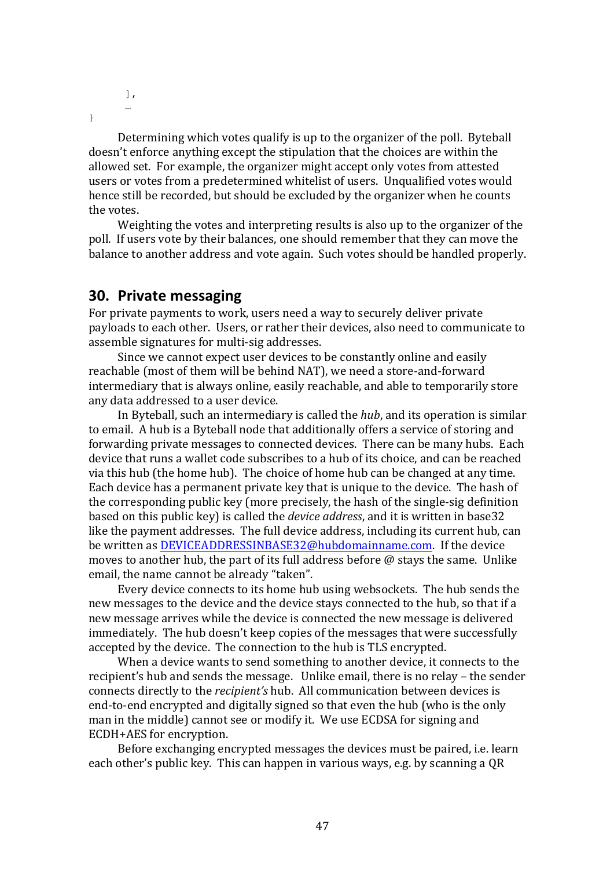], …

}

Determining which votes qualify is up to the organizer of the poll. Byteball doesn't enforce anything except the stipulation that the choices are within the allowed set. For example, the organizer might accept only votes from attested users or votes from a predetermined whitelist of users. Unqualified votes would hence still be recorded, but should be excluded by the organizer when he counts the votes.

Weighting the votes and interpreting results is also up to the organizer of the poll. If users vote by their balances, one should remember that they can move the balance to another address and vote again. Such votes should be handled properly.

#### **30.** Private messaging

For private payments to work, users need a way to securely deliver private payloads to each other. Users, or rather their devices, also need to communicate to assemble signatures for multi-sig addresses.

Since we cannot expect user devices to be constantly online and easily reachable (most of them will be behind NAT), we need a store-and-forward intermediary that is always online, easily reachable, and able to temporarily store any data addressed to a user device.

In Byteball, such an intermediary is called the *hub*, and its operation is similar to email. A hub is a Byteball node that additionally offers a service of storing and forwarding private messages to connected devices. There can be many hubs. Each device that runs a wallet code subscribes to a hub of its choice, and can be reached via this hub (the home hub). The choice of home hub can be changed at any time. Each device has a permanent private key that is unique to the device. The hash of the corresponding public key (more precisely, the hash of the single-sig definition based on this public key) is called the *device address*, and it is written in base32 like the payment addresses. The full device address, including its current hub, can be written as DEVICEADDRESSINBASE32@hubdomainname.com. If the device moves to another hub, the part of its full address before  $\omega$  stays the same. Unlike email, the name cannot be already "taken".

Every device connects to its home hub using websockets. The hub sends the new messages to the device and the device stays connected to the hub, so that if a new message arrives while the device is connected the new message is delivered immediately. The hub doesn't keep copies of the messages that were successfully accepted by the device. The connection to the hub is TLS encrypted.

When a device wants to send something to another device, it connects to the recipient's hub and sends the message. Unlike email, there is no relay – the sender connects directly to the *recipient's* hub. All communication between devices is end-to-end encrypted and digitally signed so that even the hub (who is the only man in the middle) cannot see or modify it. We use ECDSA for signing and ECDH+AES for encryption.

Before exchanging encrypted messages the devices must be paired, i.e. learn each other's public key. This can happen in various ways, e.g. by scanning a OR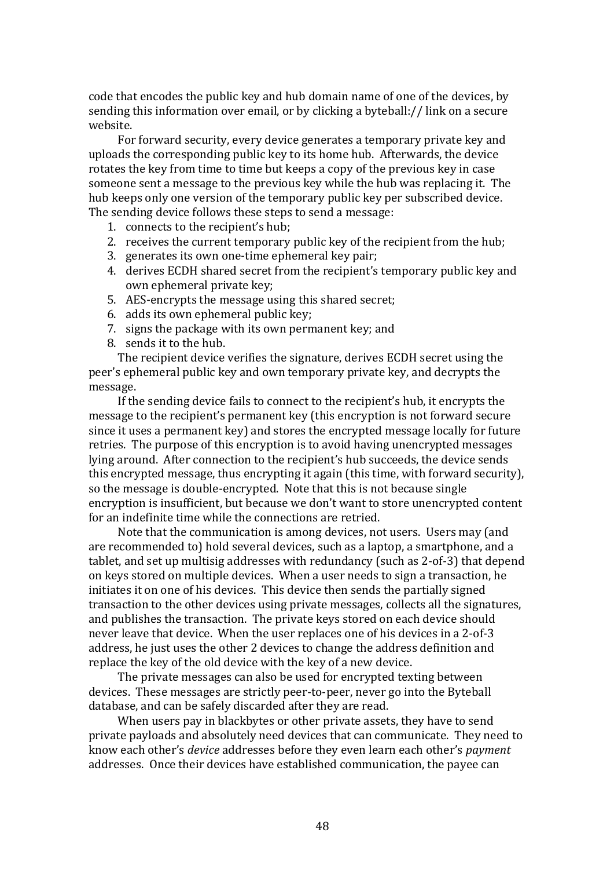code that encodes the public key and hub domain name of one of the devices, by sending this information over email, or by clicking a byteball:// link on a secure website.

For forward security, every device generates a temporary private key and uploads the corresponding public key to its home hub. Afterwards, the device rotates the key from time to time but keeps a copy of the previous key in case someone sent a message to the previous key while the hub was replacing it. The hub keeps only one version of the temporary public key per subscribed device. The sending device follows these steps to send a message:

- 1. connects to the recipient's hub;
- 2. receives the current temporary public key of the recipient from the hub;
- 3. generates its own one-time ephemeral key pair;
- 4. derives ECDH shared secret from the recipient's temporary public key and own ephemeral private key;
- 5. AES-encrypts the message using this shared secret:
- 6. adds its own ephemeral public key:
- 7. signs the package with its own permanent key; and
- 8. sends it to the hub.

The recipient device verifies the signature, derives ECDH secret using the peer's ephemeral public key and own temporary private key, and decrypts the message.

If the sending device fails to connect to the recipient's hub, it encrypts the message to the recipient's permanent key (this encryption is not forward secure since it uses a permanent key) and stores the encrypted message locally for future retries. The purpose of this encryption is to avoid having unencrypted messages lying around. After connection to the recipient's hub succeeds, the device sends this encrypted message, thus encrypting it again (this time, with forward security), so the message is double-encrypted. Note that this is not because single encryption is insufficient, but because we don't want to store unencrypted content for an indefinite time while the connections are retried.

Note that the communication is among devices, not users. Users may (and are recommended to) hold several devices, such as a laptop, a smartphone, and a tablet, and set up multisig addresses with redundancy (such as 2-of-3) that depend on keys stored on multiple devices. When a user needs to sign a transaction, he initiates it on one of his devices. This device then sends the partially signed transaction to the other devices using private messages, collects all the signatures, and publishes the transaction. The private keys stored on each device should never leave that device. When the user replaces one of his devices in a 2-of-3 address, he just uses the other 2 devices to change the address definition and replace the key of the old device with the key of a new device.

The private messages can also be used for encrypted texting between devices. These messages are strictly peer-to-peer, never go into the Byteball database, and can be safely discarded after they are read.

When users pay in blackbytes or other private assets, they have to send private payloads and absolutely need devices that can communicate. They need to know each other's *device* addresses before they even learn each other's *payment* addresses. Once their devices have established communication, the payee can